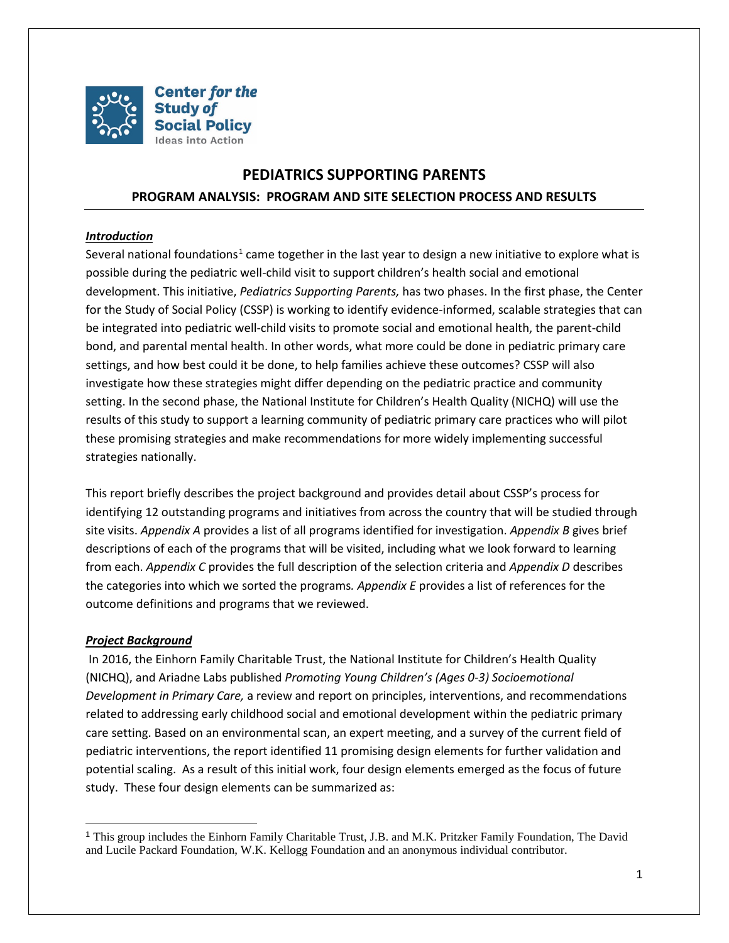

# **PEDIATRICS SUPPORTING PARENTS PROGRAM ANALYSIS: PROGRAM AND SITE SELECTION PROCESS AND RESULTS**

# *Introduction*

Several national foundations<sup>[1](#page-0-0)</sup> came together in the last year to design a new initiative to explore what is possible during the pediatric well-child visit to support children's health social and emotional development. This initiative, *Pediatrics Supporting Parents,* has two phases. In the first phase, the Center for the Study of Social Policy (CSSP) is working to identify evidence-informed, scalable strategies that can be integrated into pediatric well-child visits to promote social and emotional health, the parent-child bond, and parental mental health. In other words, what more could be done in pediatric primary care settings, and how best could it be done, to help families achieve these outcomes? CSSP will also investigate how these strategies might differ depending on the pediatric practice and community setting. In the second phase, the National Institute for Children's Health Quality (NICHQ) will use the results of this study to support a learning community of pediatric primary care practices who will pilot these promising strategies and make recommendations for more widely implementing successful strategies nationally.

This report briefly describes the project background and provides detail about CSSP's process for identifying 12 outstanding programs and initiatives from across the country that will be studied through site visits. *Appendix A* provides a list of all programs identified for investigation. *Appendix B* gives brief descriptions of each of the programs that will be visited, including what we look forward to learning from each. *Appendix C* provides the full description of the selection criteria and *Appendix D* describes the categories into which we sorted the programs*. Appendix E* provides a list of references for the outcome definitions and programs that we reviewed.

## *Project Background*

In 2016, the Einhorn Family Charitable Trust, the National Institute for Children's Health Quality (NICHQ), and Ariadne Labs published *Promoting Young Children's (Ages 0-3) Socioemotional Development in Primary Care,* a review and report on principles, interventions, and recommendations related to addressing early childhood social and emotional development within the pediatric primary care setting. Based on an environmental scan, an expert meeting, and a survey of the current field of pediatric interventions, the report identified 11 promising design elements for further validation and potential scaling. As a result of this initial work, four design elements emerged as the focus of future study. These four design elements can be summarized as:

<span id="page-0-0"></span> <sup>1</sup> This group includes the Einhorn Family Charitable Trust, J.B. and M.K. Pritzker Family Foundation, The David and Lucile Packard Foundation, W.K. Kellogg Foundation and an anonymous individual contributor.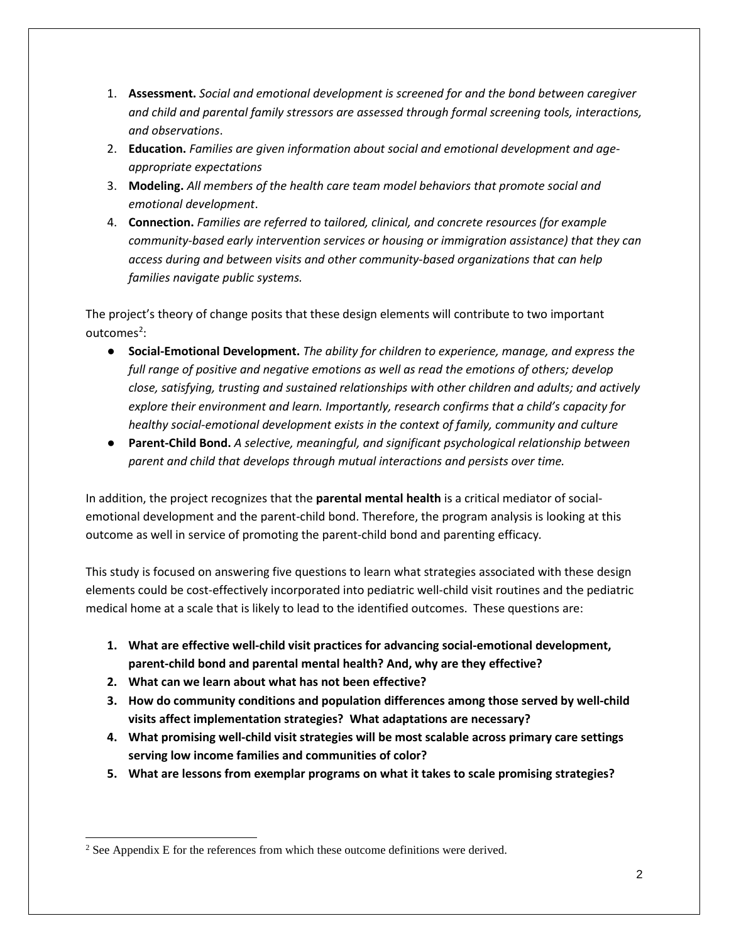- 1. **Assessment.** *Social and emotional development is screened for and the bond between caregiver and child and parental family stressors are assessed through formal screening tools, interactions, and observations*.
- 2. **Education.** *Families are given information about social and emotional development and ageappropriate expectations*
- 3. **Modeling.** *All members of the health care team model behaviors that promote social and emotional development*.
- 4. **Connection.** *Families are referred to tailored, clinical, and concrete resources (for example community-based early intervention services or housing or immigration assistance) that they can access during and between visits and other community-based organizations that can help families navigate public systems.*

The project's theory of change posits that these design elements will contribute to two important outcomes<sup>[2](#page-1-0)</sup>:

- **Social-Emotional Development.** *The ability for children to experience, manage, and express the full range of positive and negative emotions as well as read the emotions of others; develop close, satisfying, trusting and sustained relationships with other children and adults; and actively explore their environment and learn. Importantly, research confirms that a child's capacity for healthy social-emotional development exists in the context of family, community and culture*
- **Parent-Child Bond.** *A selective, meaningful, and significant psychological relationship between parent and child that develops through mutual interactions and persists over time.*

In addition, the project recognizes that the **parental mental health** is a critical mediator of socialemotional development and the parent-child bond. Therefore, the program analysis is looking at this outcome as well in service of promoting the parent-child bond and parenting efficacy*.* 

This study is focused on answering five questions to learn what strategies associated with these design elements could be cost-effectively incorporated into pediatric well-child visit routines and the pediatric medical home at a scale that is likely to lead to the identified outcomes. These questions are:

- **1. What are effective well-child visit practices for advancing social-emotional development, parent-child bond and parental mental health? And, why are they effective?**
- **2. What can we learn about what has not been effective?**
- **3. How do community conditions and population differences among those served by well-child visits affect implementation strategies? What adaptations are necessary?**
- **4. What promising well-child visit strategies will be most scalable across primary care settings serving low income families and communities of color?**
- **5. What are lessons from exemplar programs on what it takes to scale promising strategies?**

<span id="page-1-0"></span> $\overline{a}$ <sup>2</sup> See Appendix E for the references from which these outcome definitions were derived.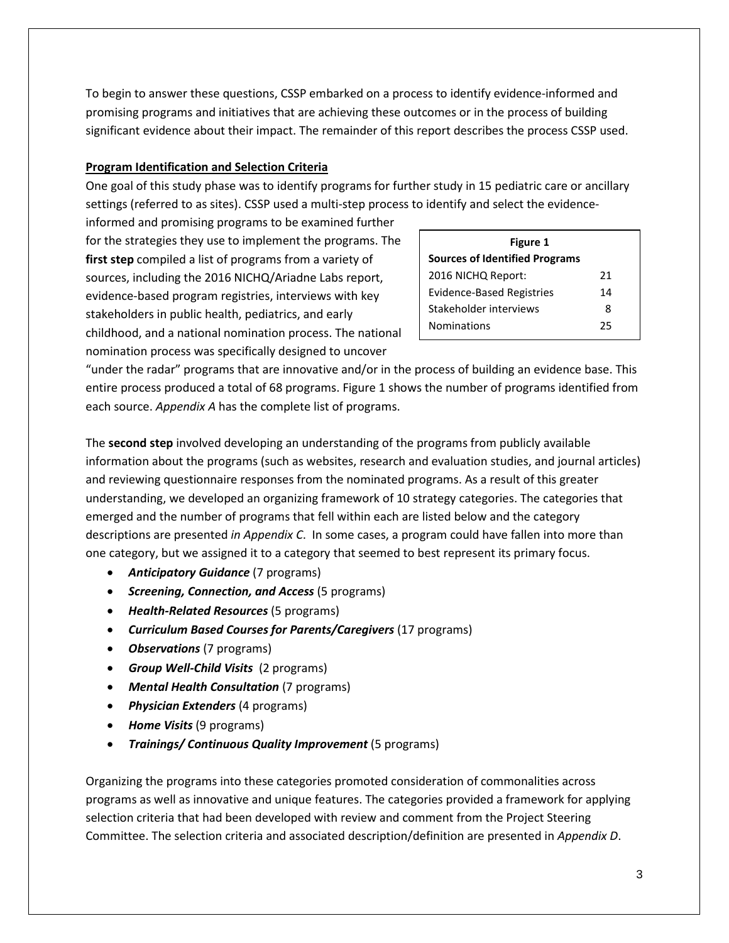To begin to answer these questions, CSSP embarked on a process to identify evidence-informed and promising programs and initiatives that are achieving these outcomes or in the process of building significant evidence about their impact. The remainder of this report describes the process CSSP used.

# **Program Identification and Selection Criteria**

One goal of this study phase was to identify programs for further study in 15 pediatric care or ancillary settings (referred to as sites). CSSP used a multi-step process to identify and select the evidence-

informed and promising programs to be examined further for the strategies they use to implement the programs. The **first step** compiled a list of programs from a variety of sources, including the 2016 NICHQ/Ariadne Labs report, evidence-based program registries, interviews with key stakeholders in public health, pediatrics, and early childhood, and a national nomination process. The national nomination process was specifically designed to uncover

| Figure 1                              |    |  |
|---------------------------------------|----|--|
| <b>Sources of Identified Programs</b> |    |  |
| 2016 NICHQ Report:                    | 21 |  |
| <b>Evidence-Based Registries</b>      | 14 |  |
| Stakeholder interviews                | 8  |  |
| <b>Nominations</b>                    | 25 |  |

"under the radar" programs that are innovative and/or in the process of building an evidence base. This entire process produced a total of 68 programs. Figure 1 shows the number of programs identified from each source. *Appendix A* has the complete list of programs.

The **second step** involved developing an understanding of the programs from publicly available information about the programs (such as websites, research and evaluation studies, and journal articles) and reviewing questionnaire responses from the nominated programs. As a result of this greater understanding, we developed an organizing framework of 10 strategy categories. The categories that emerged and the number of programs that fell within each are listed below and the category descriptions are presented *in Appendix C*. In some cases, a program could have fallen into more than one category, but we assigned it to a category that seemed to best represent its primary focus.

- *Anticipatory Guidance* (7 programs)
- *Screening, Connection, and Access* (5 programs)
- *Health-Related Resources* (5 programs)
- *Curriculum Based Courses for Parents/Caregivers* (17 programs)
- *Observations* (7 programs)
- *Group Well-Child Visits* (2 programs)
- *Mental Health Consultation* (7 programs)
- *Physician Extenders* (4 programs)
- *Home Visits* (9 programs)
- *Trainings/ Continuous Quality Improvement* (5 programs)

Organizing the programs into these categories promoted consideration of commonalities across programs as well as innovative and unique features. The categories provided a framework for applying selection criteria that had been developed with review and comment from the Project Steering Committee. The selection criteria and associated description/definition are presented in *Appendix D*.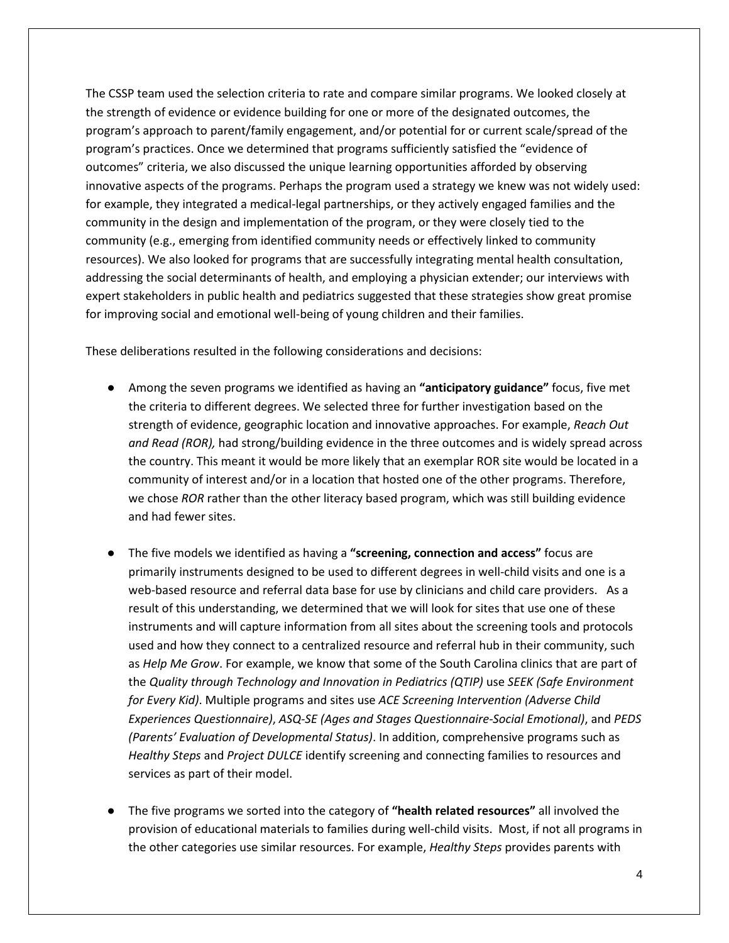The CSSP team used the selection criteria to rate and compare similar programs. We looked closely at the strength of evidence or evidence building for one or more of the designated outcomes, the program's approach to parent/family engagement, and/or potential for or current scale/spread of the program's practices. Once we determined that programs sufficiently satisfied the "evidence of outcomes" criteria, we also discussed the unique learning opportunities afforded by observing innovative aspects of the programs. Perhaps the program used a strategy we knew was not widely used: for example, they integrated a medical-legal partnerships, or they actively engaged families and the community in the design and implementation of the program, or they were closely tied to the community (e.g., emerging from identified community needs or effectively linked to community resources). We also looked for programs that are successfully integrating mental health consultation, addressing the social determinants of health, and employing a physician extender; our interviews with expert stakeholders in public health and pediatrics suggested that these strategies show great promise for improving social and emotional well-being of young children and their families.

These deliberations resulted in the following considerations and decisions:

- Among the seven programs we identified as having an **"anticipatory guidance"** focus, five met the criteria to different degrees. We selected three for further investigation based on the strength of evidence, geographic location and innovative approaches. For example, *Reach Out and Read (ROR),* had strong/building evidence in the three outcomes and is widely spread across the country. This meant it would be more likely that an exemplar ROR site would be located in a community of interest and/or in a location that hosted one of the other programs. Therefore, we chose *ROR* rather than the other literacy based program, which was still building evidence and had fewer sites.
- The five models we identified as having a **"screening, connection and access"** focus are primarily instruments designed to be used to different degrees in well-child visits and one is a web-based resource and referral data base for use by clinicians and child care providers. As a result of this understanding, we determined that we will look for sites that use one of these instruments and will capture information from all sites about the screening tools and protocols used and how they connect to a centralized resource and referral hub in their community, such as *Help Me Grow*. For example, we know that some of the South Carolina clinics that are part of the *Quality through Technology and Innovation in Pediatrics (QTIP)* use *SEEK (Safe Environment for Every Kid)*. Multiple programs and sites use *ACE Screening Intervention (Adverse Child Experiences Questionnaire)*, *ASQ-SE (Ages and Stages Questionnaire-Social Emotional)*, and *PEDS (Parents' Evaluation of Developmental Status)*. In addition, comprehensive programs such as *Healthy Steps* and *Project DULCE* identify screening and connecting families to resources and services as part of their model.
- The five programs we sorted into the category of **"health related resources"** all involved the provision of educational materials to families during well-child visits. Most, if not all programs in the other categories use similar resources. For example, *Healthy Steps* provides parents with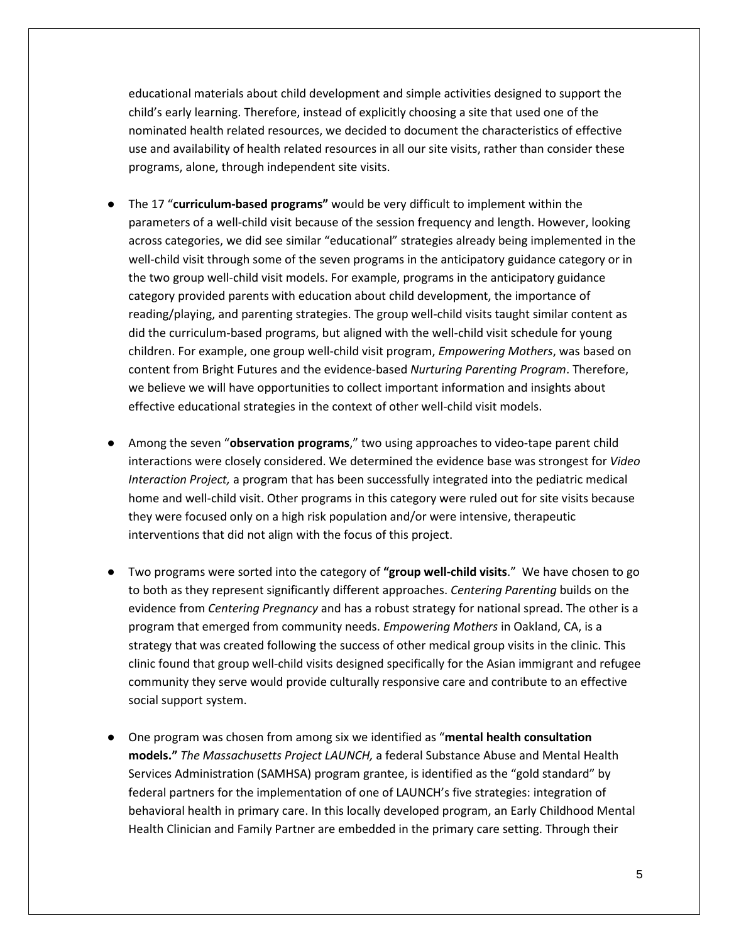educational materials about child development and simple activities designed to support the child's early learning. Therefore, instead of explicitly choosing a site that used one of the nominated health related resources, we decided to document the characteristics of effective use and availability of health related resources in all our site visits, rather than consider these programs, alone, through independent site visits.

- The 17 "**curriculum-based programs"** would be very difficult to implement within the parameters of a well-child visit because of the session frequency and length. However, looking across categories, we did see similar "educational" strategies already being implemented in the well-child visit through some of the seven programs in the anticipatory guidance category or in the two group well-child visit models. For example, programs in the anticipatory guidance category provided parents with education about child development, the importance of reading/playing, and parenting strategies. The group well-child visits taught similar content as did the curriculum-based programs, but aligned with the well-child visit schedule for young children. For example, one group well-child visit program, *Empowering Mothers*, was based on content from Bright Futures and the evidence-based *Nurturing Parenting Program*. Therefore, we believe we will have opportunities to collect important information and insights about effective educational strategies in the context of other well-child visit models.
- Among the seven "**observation programs**," two using approaches to video-tape parent child interactions were closely considered. We determined the evidence base was strongest for *Video Interaction Project,* a program that has been successfully integrated into the pediatric medical home and well-child visit. Other programs in this category were ruled out for site visits because they were focused only on a high risk population and/or were intensive, therapeutic interventions that did not align with the focus of this project.
- Two programs were sorted into the category of **"group well-child visits**." We have chosen to go to both as they represent significantly different approaches. *Centering Parenting* builds on the evidence from *Centering Pregnancy* and has a robust strategy for national spread. The other is a program that emerged from community needs. *Empowering Mothers* in Oakland, CA, is a strategy that was created following the success of other medical group visits in the clinic. This clinic found that group well-child visits designed specifically for the Asian immigrant and refugee community they serve would provide culturally responsive care and contribute to an effective social support system.
- One program was chosen from among six we identified as "**mental health consultation models."** *The Massachusetts Project LAUNCH,* a federal Substance Abuse and Mental Health Services Administration (SAMHSA) program grantee, is identified as the "gold standard" by federal partners for the implementation of one of LAUNCH's five strategies: integration of behavioral health in primary care. In this locally developed program, an Early Childhood Mental Health Clinician and Family Partner are embedded in the primary care setting. Through their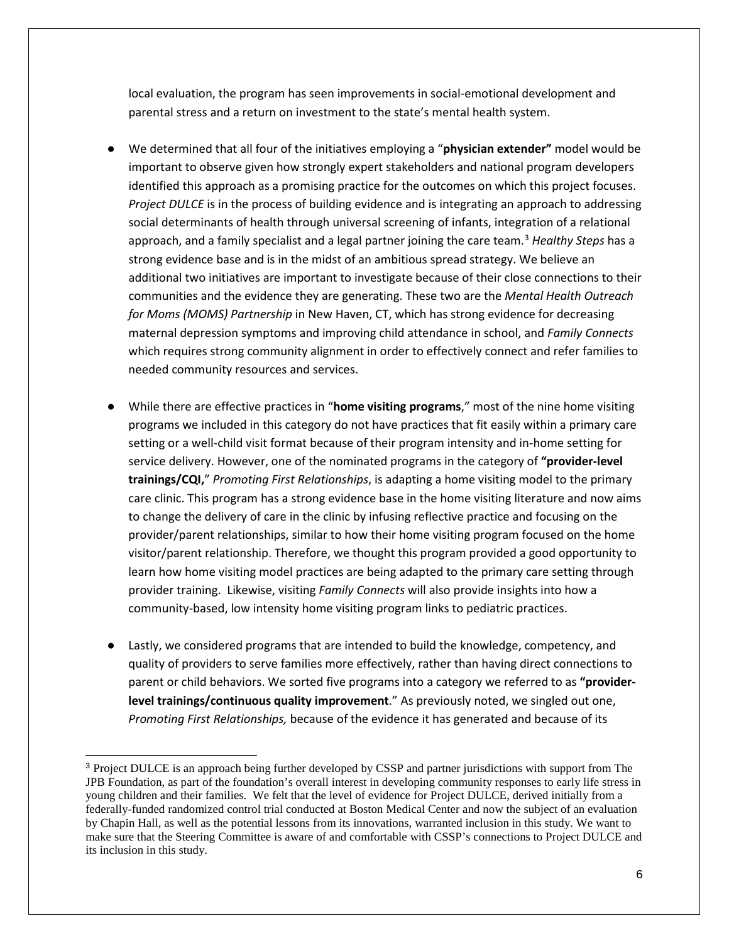local evaluation, the program has seen improvements in social-emotional development and parental stress and a return on investment to the state's mental health system.

- We determined that all four of the initiatives employing a "**physician extender"** model would be important to observe given how strongly expert stakeholders and national program developers identified this approach as a promising practice for the outcomes on which this project focuses. *Project DULCE* is in the process of building evidence and is integrating an approach to addressing social determinants of health through universal screening of infants, integration of a relational approach, and a family specialist and a legal partner joining the care team.[3](#page-5-0) *Healthy Steps* has a strong evidence base and is in the midst of an ambitious spread strategy. We believe an additional two initiatives are important to investigate because of their close connections to their communities and the evidence they are generating. These two are the *Mental Health Outreach for Moms (MOMS) Partnership* in New Haven, CT, which has strong evidence for decreasing maternal depression symptoms and improving child attendance in school, and *Family Connects* which requires strong community alignment in order to effectively connect and refer families to needed community resources and services.
- While there are effective practices in "home visiting programs," most of the nine home visiting programs we included in this category do not have practices that fit easily within a primary care setting or a well-child visit format because of their program intensity and in-home setting for service delivery. However, one of the nominated programs in the category of **"provider-level trainings/CQI,**" *Promoting First Relationships*, is adapting a home visiting model to the primary care clinic. This program has a strong evidence base in the home visiting literature and now aims to change the delivery of care in the clinic by infusing reflective practice and focusing on the provider/parent relationships, similar to how their home visiting program focused on the home visitor/parent relationship. Therefore, we thought this program provided a good opportunity to learn how home visiting model practices are being adapted to the primary care setting through provider training. Likewise, visiting *Family Connects* will also provide insights into how a community-based, low intensity home visiting program links to pediatric practices.
- Lastly, we considered programs that are intended to build the knowledge, competency, and quality of providers to serve families more effectively, rather than having direct connections to parent or child behaviors. We sorted five programs into a category we referred to as **"providerlevel trainings/continuous quality improvement**." As previously noted, we singled out one, *Promoting First Relationships,* because of the evidence it has generated and because of its

<span id="page-5-0"></span> <sup>3</sup> Project DULCE is an approach being further developed by CSSP and partner jurisdictions with support from The JPB Foundation, as part of the foundation's overall interest in developing community responses to early life stress in young children and their families. We felt that the level of evidence for Project DULCE, derived initially from a federally-funded randomized control trial conducted at Boston Medical Center and now the subject of an evaluation by Chapin Hall, as well as the potential lessons from its innovations, warranted inclusion in this study. We want to make sure that the Steering Committee is aware of and comfortable with CSSP's connections to Project DULCE and its inclusion in this study.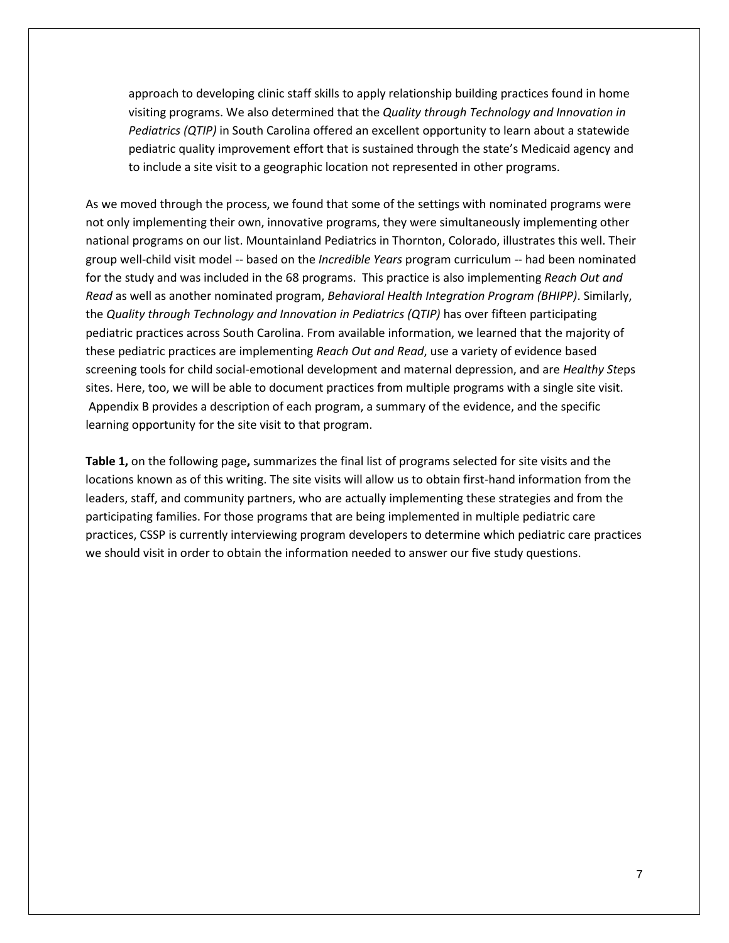approach to developing clinic staff skills to apply relationship building practices found in home visiting programs. We also determined that the *Quality through Technology and Innovation in Pediatrics (QTIP)* in South Carolina offered an excellent opportunity to learn about a statewide pediatric quality improvement effort that is sustained through the state's Medicaid agency and to include a site visit to a geographic location not represented in other programs.

As we moved through the process, we found that some of the settings with nominated programs were not only implementing their own, innovative programs, they were simultaneously implementing other national programs on our list. Mountainland Pediatrics in Thornton, Colorado, illustrates this well. Their group well-child visit model -- based on the *Incredible Years* program curriculum -- had been nominated for the study and was included in the 68 programs. This practice is also implementing *Reach Out and Read* as well as another nominated program, *Behavioral Health Integration Program (BHIPP)*. Similarly, the *Quality through Technology and Innovation in Pediatrics (QTIP)* has over fifteen participating pediatric practices across South Carolina. From available information, we learned that the majority of these pediatric practices are implementing *Reach Out and Read*, use a variety of evidence based screening tools for child social-emotional development and maternal depression, and are *Healthy Ste*ps sites. Here, too, we will be able to document practices from multiple programs with a single site visit. Appendix B provides a description of each program, a summary of the evidence, and the specific learning opportunity for the site visit to that program.

**Table 1,** on the following page**,** summarizes the final list of programs selected for site visits and the locations known as of this writing. The site visits will allow us to obtain first-hand information from the leaders, staff, and community partners, who are actually implementing these strategies and from the participating families. For those programs that are being implemented in multiple pediatric care practices, CSSP is currently interviewing program developers to determine which pediatric care practices we should visit in order to obtain the information needed to answer our five study questions.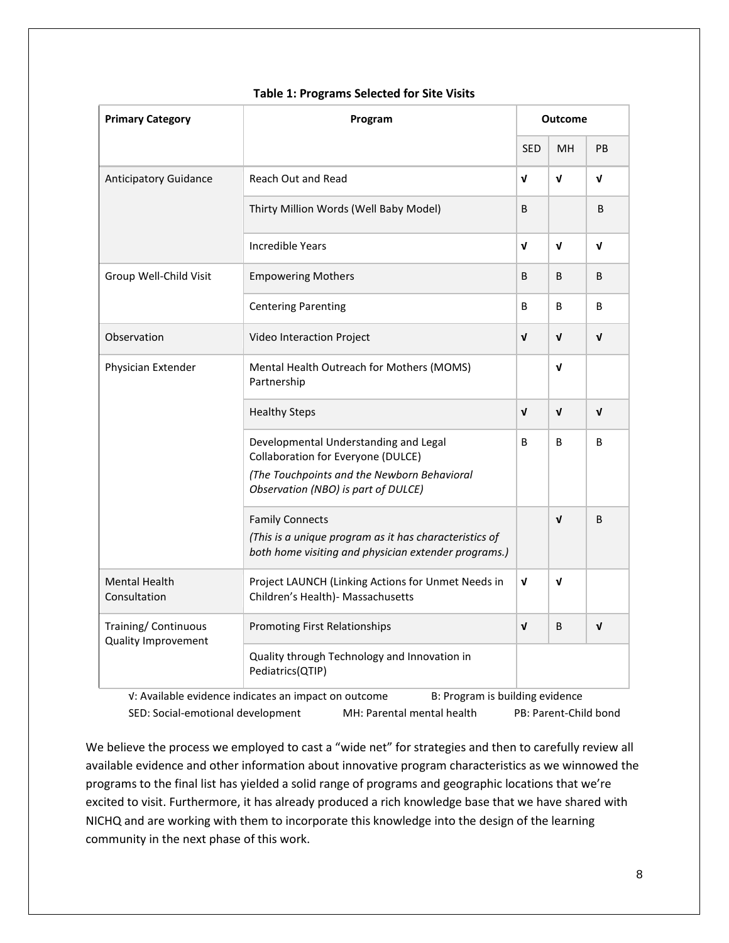| <b>Primary Category</b>                            | Program                                                                                                                                  |              | <b>Outcome</b> |              |  |
|----------------------------------------------------|------------------------------------------------------------------------------------------------------------------------------------------|--------------|----------------|--------------|--|
|                                                    |                                                                                                                                          | <b>SED</b>   | <b>MH</b>      | <b>PB</b>    |  |
| <b>Anticipatory Guidance</b>                       | Reach Out and Read                                                                                                                       | V            | V              | V            |  |
|                                                    | Thirty Million Words (Well Baby Model)                                                                                                   | B            |                | B            |  |
|                                                    | Incredible Years                                                                                                                         | $\mathbf{v}$ | V              | V            |  |
| Group Well-Child Visit                             | <b>Empowering Mothers</b>                                                                                                                | B            | B              | B            |  |
|                                                    | <b>Centering Parenting</b>                                                                                                               | B            | B              | B            |  |
| Observation                                        | Video Interaction Project                                                                                                                | $\mathbf{v}$ | $\mathbf{v}$   | $\mathbf{v}$ |  |
| Physician Extender                                 | Mental Health Outreach for Mothers (MOMS)<br>Partnership                                                                                 |              | V              |              |  |
|                                                    | <b>Healthy Steps</b>                                                                                                                     | $\mathbf v$  | $\mathbf{v}$   | $\mathbf v$  |  |
|                                                    | Developmental Understanding and Legal<br>Collaboration for Everyone (DULCE)<br>(The Touchpoints and the Newborn Behavioral               | B            | B              | B            |  |
|                                                    | Observation (NBO) is part of DULCE)                                                                                                      |              |                |              |  |
|                                                    | <b>Family Connects</b><br>(This is a unique program as it has characteristics of<br>both home visiting and physician extender programs.) |              | $\mathbf{v}$   | B            |  |
| <b>Mental Health</b><br>Consultation               | Project LAUNCH (Linking Actions for Unmet Needs in<br>Children's Health)- Massachusetts                                                  | $\mathbf v$  | $\mathbf v$    |              |  |
| Training/ Continuous<br><b>Quality Improvement</b> | <b>Promoting First Relationships</b>                                                                                                     | $\mathbf v$  | B              | $\mathbf{v}$ |  |
|                                                    | Quality through Technology and Innovation in<br>Pediatrics(QTIP)                                                                         |              |                |              |  |

### **Table 1: Programs Selected for Site Visits**

√: Available evidence indicates an impact on outcome B: Program is building evidence SED: Social-emotional development MH: Parental mental health PB: Parent-Child bond

We believe the process we employed to cast a "wide net" for strategies and then to carefully review all available evidence and other information about innovative program characteristics as we winnowed the programs to the final list has yielded a solid range of programs and geographic locations that we're excited to visit. Furthermore, it has already produced a rich knowledge base that we have shared with NICHQ and are working with them to incorporate this knowledge into the design of the learning community in the next phase of this work.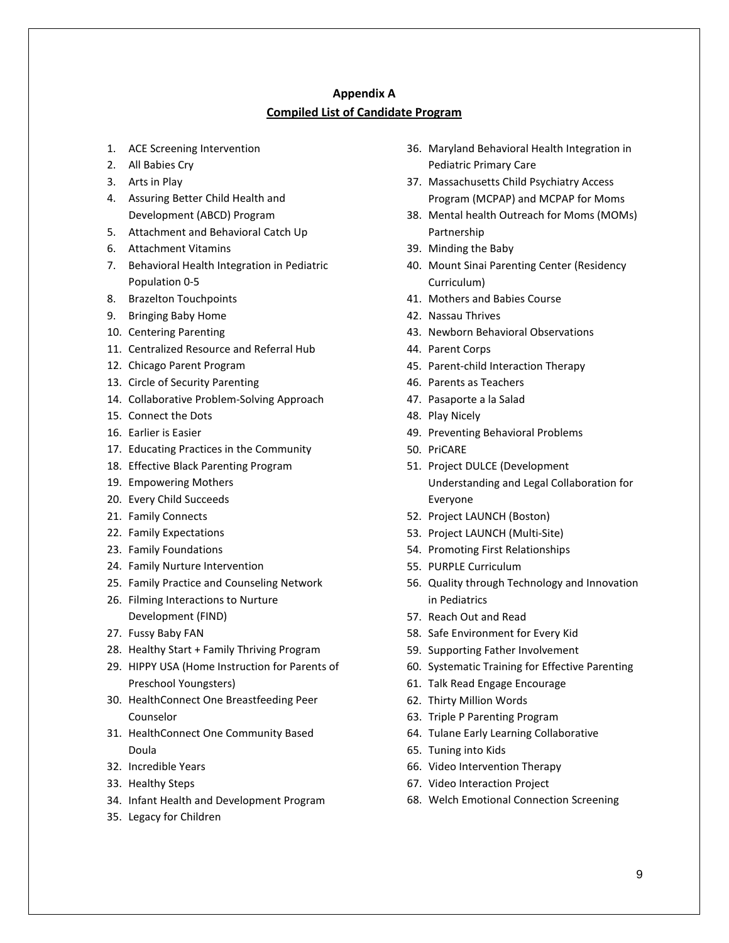## **Appendix A Compiled List of Candidate Program**

- 1. ACE Screening Intervention
- 2. All Babies Cry
- 3. Arts in Play
- 4. Assuring Better Child Health and Development (ABCD) Program
- 5. Attachment and Behavioral Catch Up
- 6. Attachment Vitamins
- 7. Behavioral Health Integration in Pediatric Population 0-5
- 8. Brazelton Touchpoints
- 9. Bringing Baby Home
- 10. Centering Parenting
- 11. Centralized Resource and Referral Hub
- 12. Chicago Parent Program
- 13. Circle of Security Parenting
- 14. Collaborative Problem-Solving Approach
- 15. Connect the Dots
- 16. Earlier is Easier
- 17. Educating Practices in the Community
- 18. Effective Black Parenting Program
- 19. Empowering Mothers
- 20. Every Child Succeeds
- 21. Family Connects
- 22. Family Expectations
- 23. Family Foundations
- 24. Family Nurture Intervention
- 25. Family Practice and Counseling Network
- 26. Filming Interactions to Nurture Development (FIND)
- 27. Fussy Baby FAN
- 28. Healthy Start + Family Thriving Program
- 29. HIPPY USA (Home Instruction for Parents of Preschool Youngsters)
- 30. HealthConnect One Breastfeeding Peer Counselor
- 31. HealthConnect One Community Based Doula
- 32. Incredible Years
- 33. Healthy Steps
- 34. Infant Health and Development Program
- 35. Legacy for Children
- 36. Maryland Behavioral Health Integration in Pediatric Primary Care
- 37. Massachusetts Child Psychiatry Access Program (MCPAP) and MCPAP for Moms
- 38. Mental health Outreach for Moms (MOMs) Partnership
- 39. Minding the Baby
- 40. Mount Sinai Parenting Center (Residency Curriculum)
- 41. Mothers and Babies Course
- 42. Nassau Thrives
- 43. Newborn Behavioral Observations
- 44. Parent Corps
- 45. Parent-child Interaction Therapy
- 46. Parents as Teachers
- 47. Pasaporte a la Salad
- 48. Play Nicely
- 49. Preventing Behavioral Problems
- 50. PriCARE
- 51. Project DULCE (Development Understanding and Legal Collaboration for Everyone
- 52. Project LAUNCH (Boston)
- 53. Project LAUNCH (Multi-Site)
- 54. Promoting First Relationships
- 55. PURPLE Curriculum
- 56. Quality through Technology and Innovation in Pediatrics
- 57. Reach Out and Read
- 58. Safe Environment for Every Kid
- 59. Supporting Father Involvement
- 60. Systematic Training for Effective Parenting
- 61. Talk Read Engage Encourage
- 62. Thirty Million Words
- 63. Triple P Parenting Program
- 64. Tulane Early Learning Collaborative
- 65. Tuning into Kids
- 66. Video Intervention Therapy
- 67. Video Interaction Project
- 68. Welch Emotional Connection Screening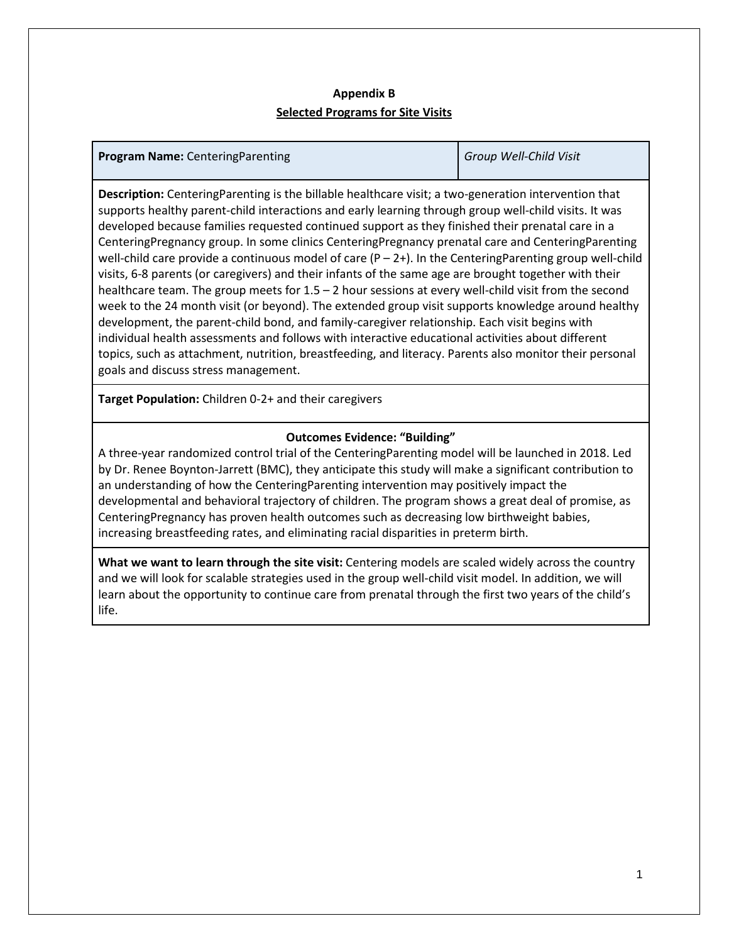# **Appendix B Selected Programs for Site Visits**

| <b>Program Name: Centering Parenting</b> | Group Well-Child Visit |
|------------------------------------------|------------------------|
|------------------------------------------|------------------------|

**Description:** CenteringParenting is the billable healthcare visit; a two-generation intervention that supports healthy parent-child interactions and early learning through group well-child visits. It was developed because families requested continued support as they finished their prenatal care in a CenteringPregnancy group. In some clinics CenteringPregnancy prenatal care and CenteringParenting well-child care provide a continuous model of care  $(P - 2+)$ . In the CenteringParenting group well-child visits, 6-8 parents (or caregivers) and their infants of the same age are brought together with their healthcare team. The group meets for 1.5 – 2 hour sessions at every well-child visit from the second week to the 24 month visit (or beyond). The extended group visit supports knowledge around healthy development, the parent-child bond, and family-caregiver relationship. Each visit begins with individual health assessments and follows with interactive educational activities about different topics, such as attachment, nutrition, breastfeeding, and literacy. Parents also monitor their personal goals and discuss stress management.

**Target Population:** Children 0-2+ and their caregivers

# **Outcomes Evidence: "Building"**

A three-year randomized control trial of the CenteringParenting model will be launched in 2018. Led by Dr. Renee Boynton-Jarrett (BMC), they anticipate this study will make a significant contribution to an understanding of how the CenteringParenting intervention may positively impact the developmental and behavioral trajectory of children. The program shows a great deal of promise, as CenteringPregnancy has proven health outcomes such as decreasing low birthweight babies, increasing breastfeeding rates, and eliminating racial disparities in preterm birth.

**What we want to learn through the site visit:** Centering models are scaled widely across the country and we will look for scalable strategies used in the group well-child visit model. In addition, we will learn about the opportunity to continue care from prenatal through the first two years of the child's life.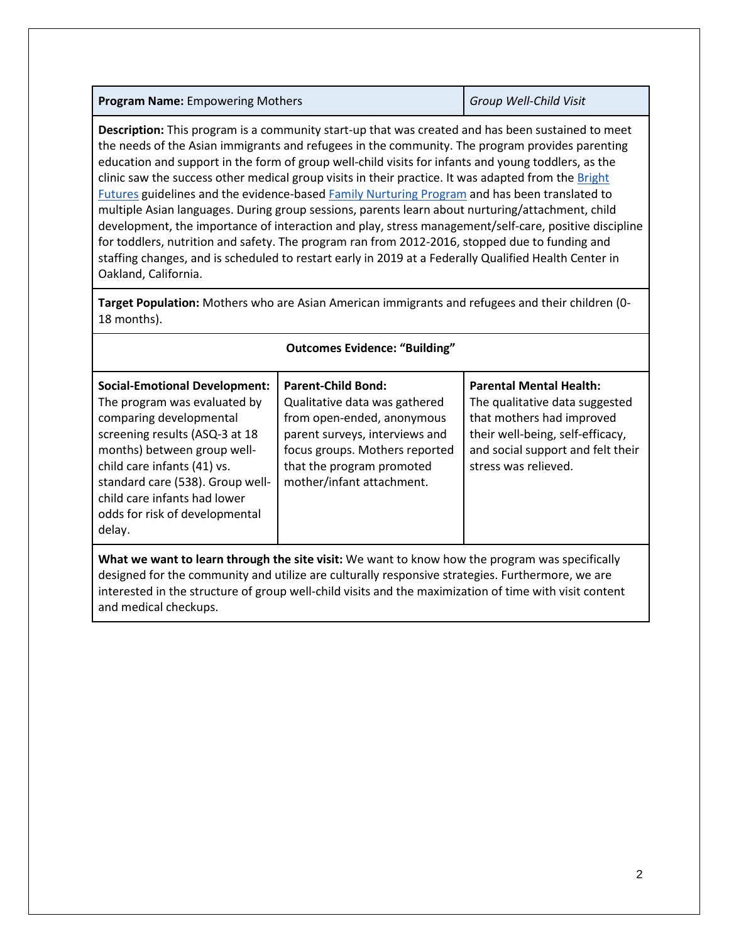|  |  | <b>Program Name: Empowering Mothers</b> |  |
|--|--|-----------------------------------------|--|
|--|--|-----------------------------------------|--|

**Program Name:** Empowering Mothers *Group Well-Child Visit*

**Description:** This program is a community start-up that was created and has been sustained to meet the needs of the Asian immigrants and refugees in the community. The program provides parenting education and support in the form of group well-child visits for infants and young toddlers, as the clinic saw the success other medical group visits in their practice. It was adapted from the Bright [Futures](https://brightfutures.aap.org/Pages/default.aspx) guidelines and the evidence-based [Family Nurturing](https://www.familynurturing.org/programs/family-nurturing-programs) [Program](https://www.familynurturing.org/programs/family-nurturing-programs) and has been translated to multiple Asian languages. During group sessions, parents learn about nurturing/attachment, child development, the importance of interaction and play, stress management/self-care, positive discipline for toddlers, nutrition and safety. The program ran from 2012-2016, stopped due to funding and staffing changes, and is scheduled to restart early in 2019 at a Federally Qualified Health Center in Oakland, California.

**Target Population:** Mothers who are Asian American immigrants and refugees and their children (0- 18 months).

| <b>Outcomes Evidence: "Building"</b>                                                                                                                                                                                                                                                                            |                                                                                                                                                                                                                        |                                                                                                                                                                                                |  |
|-----------------------------------------------------------------------------------------------------------------------------------------------------------------------------------------------------------------------------------------------------------------------------------------------------------------|------------------------------------------------------------------------------------------------------------------------------------------------------------------------------------------------------------------------|------------------------------------------------------------------------------------------------------------------------------------------------------------------------------------------------|--|
| <b>Social-Emotional Development:</b><br>The program was evaluated by<br>comparing developmental<br>screening results (ASQ-3 at 18<br>months) between group well-<br>child care infants (41) vs.<br>standard care (538). Group well-<br>child care infants had lower<br>odds for risk of developmental<br>delay. | <b>Parent-Child Bond:</b><br>Qualitative data was gathered<br>from open-ended, anonymous<br>parent surveys, interviews and<br>focus groups. Mothers reported<br>that the program promoted<br>mother/infant attachment. | <b>Parental Mental Health:</b><br>The qualitative data suggested<br>that mothers had improved<br>their well-being, self-efficacy,<br>and social support and felt their<br>stress was relieved. |  |

**What we want to learn through the site visit:** We want to know how the program was specifically designed for the community and utilize are culturally responsive strategies. Furthermore, we are interested in the structure of group well-child visits and the maximization of time with visit content and medical checkups.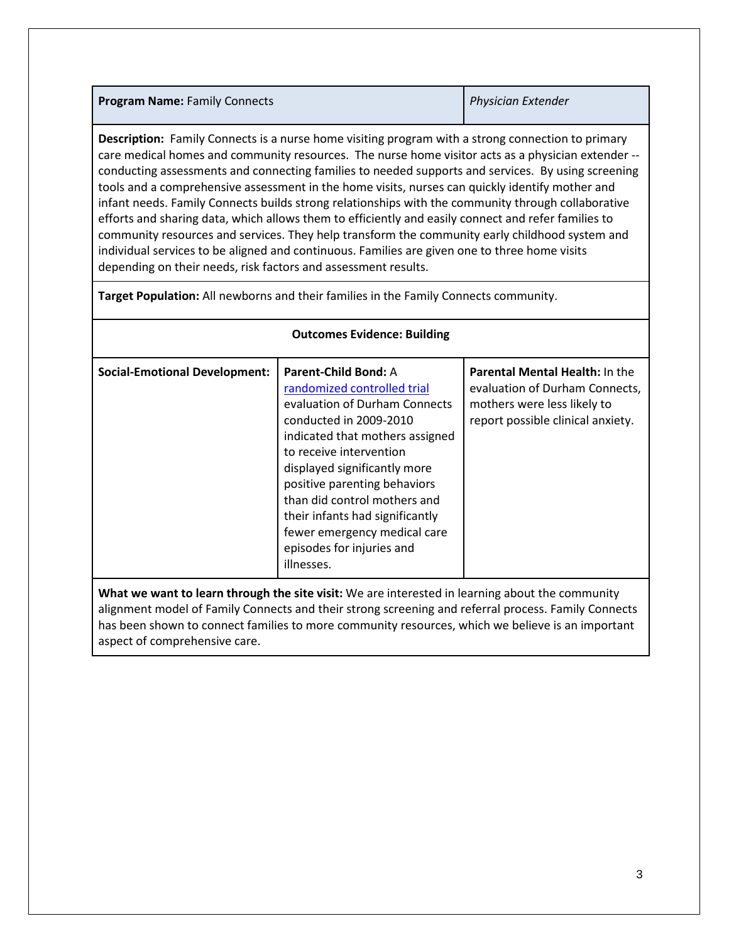## **Program Name:** Family Connects *Physician Extender*

**Description:** Family Connects is a nurse home visiting program with a strong connection to primary care medical homes and community resources. The nurse home visitor acts as a physician extender - conducting assessments and connecting families to needed supports and services. By using screening tools and a comprehensive assessment in the home visits, nurses can quickly identify mother and infant needs. Family Connects builds strong relationships with the community through collaborative efforts and sharing data, which allows them to efficiently and easily connect and refer families to community resources and services. They help transform the community early childhood system and individual services to be aligned and continuous. Families are given one to three home visits depending on their needs, risk factors and assessment results.

**Target Population:** All newborns and their families in the Family Connects community.

| <b>Social-Emotional Development:</b>                                                            | <b>Parent-Child Bond: A</b><br>randomized controlled trial<br>evaluation of Durham Connects<br>conducted in 2009-2010<br>indicated that mothers assigned<br>to receive intervention<br>displayed significantly more<br>positive parenting behaviors<br>than did control mothers and<br>their infants had significantly<br>fewer emergency medical care<br>episodes for injuries and<br>illnesses. | <b>Parental Mental Health: In the</b><br>evaluation of Durham Connects,<br>mothers were less likely to<br>report possible clinical anxiety. |
|-------------------------------------------------------------------------------------------------|---------------------------------------------------------------------------------------------------------------------------------------------------------------------------------------------------------------------------------------------------------------------------------------------------------------------------------------------------------------------------------------------------|---------------------------------------------------------------------------------------------------------------------------------------------|
| What we want to learn through the site visit: We are interested in learning about the community |                                                                                                                                                                                                                                                                                                                                                                                                   |                                                                                                                                             |

# **Outcomes Evidence: Building**

alignment model of Family Connects and their strong screening and referral process. Family Connects has been shown to connect families to more community resources, which we believe is an important aspect of comprehensive care.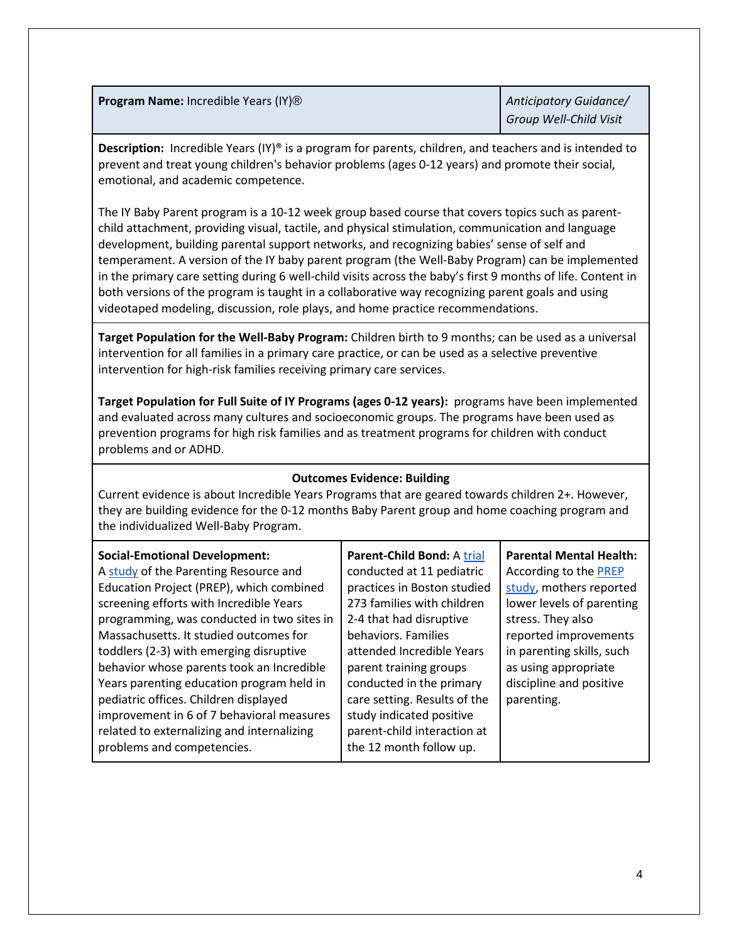**Program Name:** Incredible Years (IY)<sup>®</sup> *Anticipatory Guidance/* 

*Group Well-Child Visit*

**Description:** Incredible Years (IY)<sup>®</sup> is a program for parents, children, and teachers and is intended to prevent and treat young children's behavior problems (ages 0-12 years) and promote their social, emotional, and academic competence.

The IY Baby Parent program is a 10-12 week group based course that covers topics such as parentchild attachment, providing visual, tactile, and physical stimulation, communication and language development, building parental support networks, and recognizing babies' sense of self and temperament. A version of the IY baby parent program (the Well-Baby Program) can be implemented in the primary care setting during 6 well-child visits across the baby's first 9 months of life. Content in both versions of the program is taught in a collaborative way recognizing parent goals and using videotaped modeling, discussion, role plays, and home practice recommendations.

**Target Population for the Well-Baby Program:** Children birth to 9 months; can be used as a universal intervention for all families in a primary care practice, or can be used as a selective preventive intervention for high-risk families receiving primary care services.

**Target Population for Full Suite of IY Programs (ages 0-12 years):** programs have been implemented and evaluated across many cultures and socioeconomic groups. The programs have been used as prevention programs for high risk families and as treatment programs for children with conduct problems and or ADHD.

# **Outcomes Evidence: Building**

Current evidence is about Incredible Years Programs that are geared towards children 2+. However, they are building evidence for the 0-12 months Baby Parent group and home coaching program and the individualized Well-Baby Program.

## **Social-Emotional Development:**

A [study](http://www.incredibleyears.com/wp-content/uploads/Early-Intervention-in-Pediatrics-Offices.pdf) of the Parenting Resource and Education Project (PREP), which combined screening efforts with Incredible Years programming, was conducted in two sites in Massachusetts. It studied outcomes for toddlers (2-3) with emerging disruptive behavior whose parents took an Incredible Years parenting education program held in pediatric offices. Children displayed improvement in 6 of 7 behavioral measures related to externalizing and internalizing problems and competencies.

**Parent-Child Bond:** A [trial](https://www.ncbi.nlm.nih.gov/pubmed/24190691)  conducted at 11 pediatric practices in Boston studied 273 families with children 2-4 that had disruptive behaviors. Families attended Incredible Years parent training groups conducted in the primary care setting. Results of the study indicated positive parent-child interaction at the 12 month follow up.

**Parental Mental Health:** According to th[e PREP](http://www.incredibleyears.com/wp-content/uploads/Early-Intervention-in-Pediatrics-Offices.pdf)  [study,](http://www.incredibleyears.com/wp-content/uploads/Early-Intervention-in-Pediatrics-Offices.pdf) mothers reported lower levels of parenting stress. They also reported improvements in parenting skills, such as using appropriate discipline and positive parenting.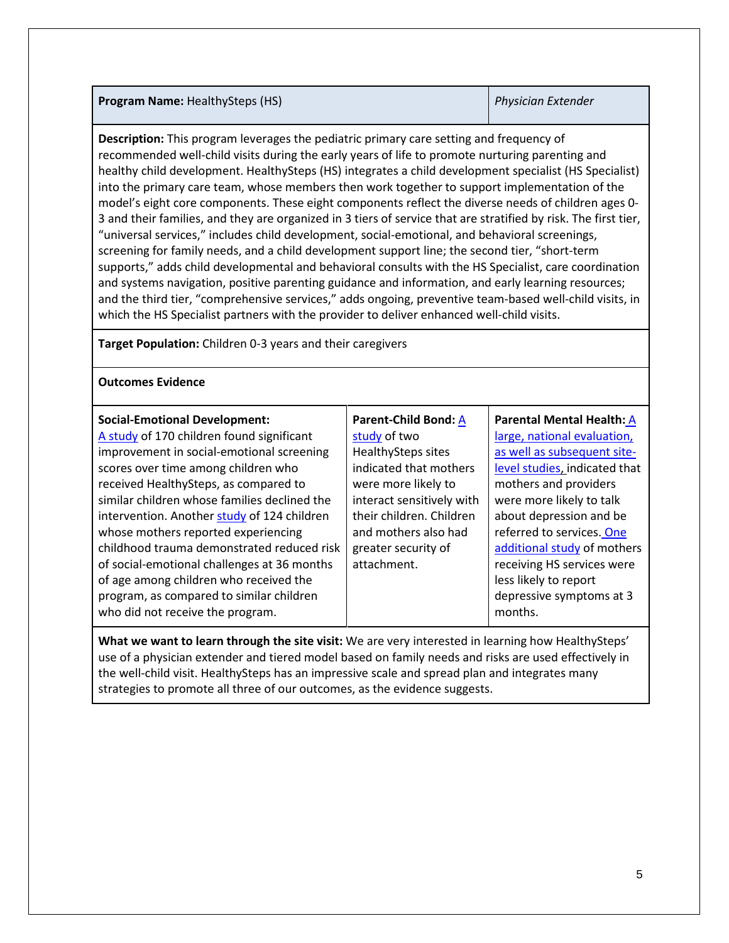## **Program Name:** HealthySteps (HS) *Physician Extender*

**Description:** This program leverages the pediatric primary care setting and frequency of recommended well-child visits during the early years of life to promote nurturing parenting and healthy child development. HealthySteps (HS) integrates a child development specialist (HS Specialist) into the primary care team, whose members then work together to support implementation of the model's eight core components. These eight components reflect the diverse needs of children ages 0- 3 and their families, and they are organized in 3 tiers of service that are stratified by risk. The first tier, "universal services," includes child development, social-emotional, and behavioral screenings, screening for family needs, and a child development support line; the second tier, "short-term supports," adds child developmental and behavioral consults with the HS Specialist, care coordination and systems navigation, positive parenting guidance and information, and early learning resources; and the third tier, "comprehensive services," adds ongoing, preventive team-based well-child visits, in which the HS Specialist partners with the provider to deliver enhanced well-child visits.

**Target Population:** Children 0-3 years and their caregivers

## **Outcomes Evidence**

| who did not receive the program.<br>months. | <b>Social-Emotional Development:</b><br>A study of 170 children found significant<br>improvement in social-emotional screening<br>scores over time among children who<br>received HealthySteps, as compared to<br>similar children whose families declined the<br>intervention. Another study of 124 children<br>whose mothers reported experiencing<br>childhood trauma demonstrated reduced risk<br>of social-emotional challenges at 36 months<br>of age among children who received the<br>program, as compared to similar children | Parent-Child Bond: A<br>study of two<br><b>HealthySteps sites</b><br>indicated that mothers<br>were more likely to<br>interact sensitively with<br>their children. Children<br>and mothers also had<br>greater security of<br>attachment. | Parental Mental Health: A<br>large, national evaluation,<br>as well as subsequent site-<br>level studies, indicated that<br>mothers and providers<br>were more likely to talk<br>about depression and be<br>referred to services. One<br>additional study of mothers<br>receiving HS services were<br>less likely to report<br>depressive symptoms at 3 |
|---------------------------------------------|-----------------------------------------------------------------------------------------------------------------------------------------------------------------------------------------------------------------------------------------------------------------------------------------------------------------------------------------------------------------------------------------------------------------------------------------------------------------------------------------------------------------------------------------|-------------------------------------------------------------------------------------------------------------------------------------------------------------------------------------------------------------------------------------------|---------------------------------------------------------------------------------------------------------------------------------------------------------------------------------------------------------------------------------------------------------------------------------------------------------------------------------------------------------|
|---------------------------------------------|-----------------------------------------------------------------------------------------------------------------------------------------------------------------------------------------------------------------------------------------------------------------------------------------------------------------------------------------------------------------------------------------------------------------------------------------------------------------------------------------------------------------------------------------|-------------------------------------------------------------------------------------------------------------------------------------------------------------------------------------------------------------------------------------------|---------------------------------------------------------------------------------------------------------------------------------------------------------------------------------------------------------------------------------------------------------------------------------------------------------------------------------------------------------|

**What we want to learn through the site visit:** We are very interested in learning how HealthySteps' use of a physician extender and tiered model based on family needs and risks are used effectively in the well-child visit. HealthySteps has an impressive scale and spread plan and integrates many strategies to promote all three of our outcomes, as the evidence suggests.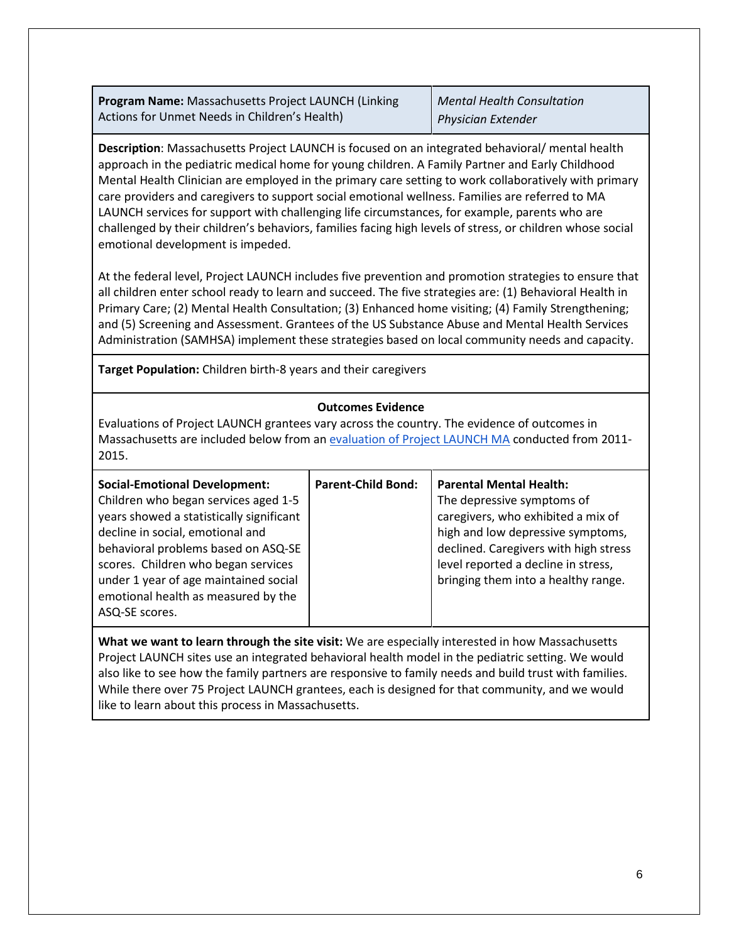**Program Name:** Massachusetts Project LAUNCH (Linking Actions for Unmet Needs in Children's Health)

*Mental Health Consultation Physician Extender*

**Description**: Massachusetts Project LAUNCH is focused on an integrated behavioral/ mental health approach in the pediatric medical home for young children. A Family Partner and Early Childhood Mental Health Clinician are employed in the primary care setting to work collaboratively with primary care providers and caregivers to support social emotional wellness. Families are referred to MA LAUNCH services for support with challenging life circumstances, for example, parents who are challenged by their children's behaviors, families facing high levels of stress, or children whose social emotional development is impeded.

At the federal level, Project LAUNCH includes five prevention and promotion strategies to ensure that all children enter school ready to learn and succeed. The five strategies are: (1) Behavioral Health in Primary Care; (2) Mental Health Consultation; (3) Enhanced home visiting; (4) Family Strengthening; and (5) Screening and Assessment. Grantees of the US Substance Abuse and Mental Health Services Administration (SAMHSA) implement these strategies based on local community needs and capacity.

**Target Population:** Children birth-8 years and their caregivers

## **Outcomes Evidence**

Evaluations of Project LAUNCH grantees vary across the country. The evidence of outcomes in Massachusetts are included below from an [evaluation of Project LAUNCH MA](https://link.springer.com/article/10.1007%2Fs10995-018-2548-4) conducted from 2011- 2015.

| <b>Social-Emotional Development:</b><br>Children who began services aged 1-5<br>years showed a statistically significant<br>decline in social, emotional and<br>behavioral problems based on ASQ-SE<br>scores. Children who began services<br>under 1 year of age maintained social<br>emotional health as measured by the<br>ASQ-SE scores. | <b>Parent-Child Bond:</b> | <b>Parental Mental Health:</b><br>The depressive symptoms of<br>caregivers, who exhibited a mix of<br>high and low depressive symptoms,<br>declined. Caregivers with high stress<br>level reported a decline in stress,<br>bringing them into a healthy range. |
|----------------------------------------------------------------------------------------------------------------------------------------------------------------------------------------------------------------------------------------------------------------------------------------------------------------------------------------------|---------------------------|----------------------------------------------------------------------------------------------------------------------------------------------------------------------------------------------------------------------------------------------------------------|
|----------------------------------------------------------------------------------------------------------------------------------------------------------------------------------------------------------------------------------------------------------------------------------------------------------------------------------------------|---------------------------|----------------------------------------------------------------------------------------------------------------------------------------------------------------------------------------------------------------------------------------------------------------|

**What we want to learn through the site visit:** We are especially interested in how Massachusetts Project LAUNCH sites use an integrated behavioral health model in the pediatric setting. We would also like to see how the family partners are responsive to family needs and build trust with families. While there over 75 Project LAUNCH grantees, each is designed for that community, and we would like to learn about this process in Massachusetts.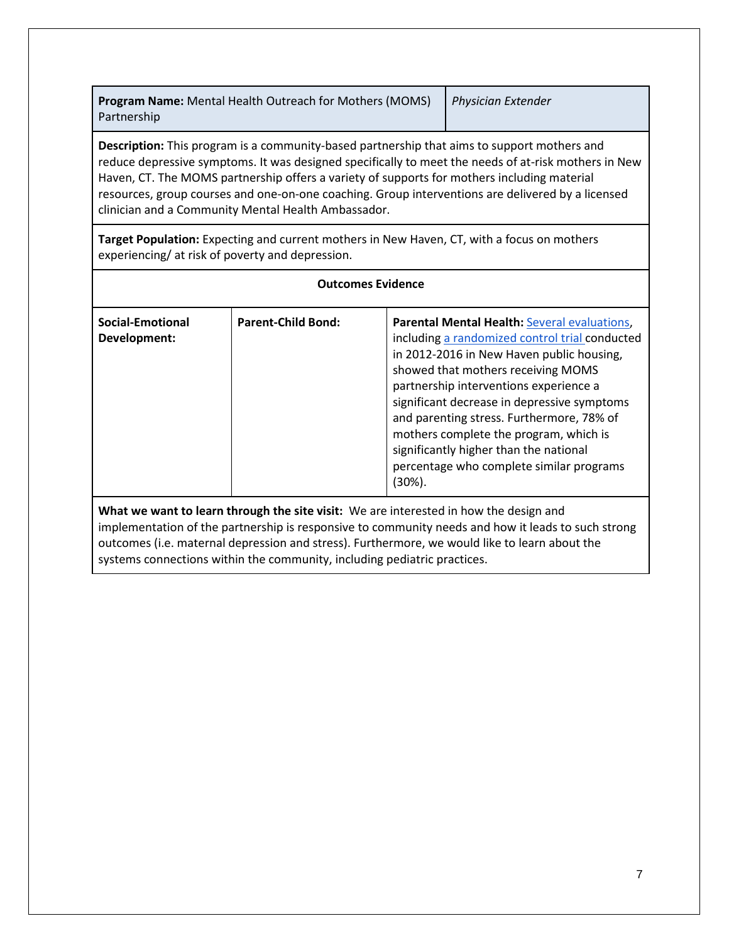**Program Name:** Mental Health Outreach for Mothers (MOMS) Partnership

*Physician Extender*

**Description:** This program is a community-based partnership that aims to support mothers and reduce depressive symptoms. It was designed specifically to meet the needs of at-risk mothers in New Haven, CT. The MOMS partnership offers a variety of supports for mothers including material resources, group courses and one-on-one coaching. Group interventions are delivered by a licensed clinician and a Community Mental Health Ambassador.

**Target Population:** Expecting and current mothers in New Haven, CT, with a focus on mothers experiencing/ at risk of poverty and depression.

| <b>Outcomes Evidence</b>                |                           |                                                                                                                                                                                                                                                                                                                                                                                                                                                                              |  |
|-----------------------------------------|---------------------------|------------------------------------------------------------------------------------------------------------------------------------------------------------------------------------------------------------------------------------------------------------------------------------------------------------------------------------------------------------------------------------------------------------------------------------------------------------------------------|--|
| <b>Social-Emotional</b><br>Development: | <b>Parent-Child Bond:</b> | <b>Parental Mental Health: Several evaluations,</b><br>including a randomized control trial conducted<br>in 2012-2016 in New Haven public housing,<br>showed that mothers receiving MOMS<br>partnership interventions experience a<br>significant decrease in depressive symptoms<br>and parenting stress. Furthermore, 78% of<br>mothers complete the program, which is<br>significantly higher than the national<br>percentage who complete similar programs<br>$(30\%)$ . |  |
|                                         |                           | What we want to learn through the site visit: We are interested in how the design and<br>inantara da ta alitha na manazarta in manazarta da anno maita na dala su da barrit ta da ta sua da ta ser anno                                                                                                                                                                                                                                                                      |  |

implementation of the partnership is responsive to community needs and how it leads to such strong outcomes (i.e. maternal depression and stress). Furthermore, we would like to learn about the systems connections within the community, including pediatric practices.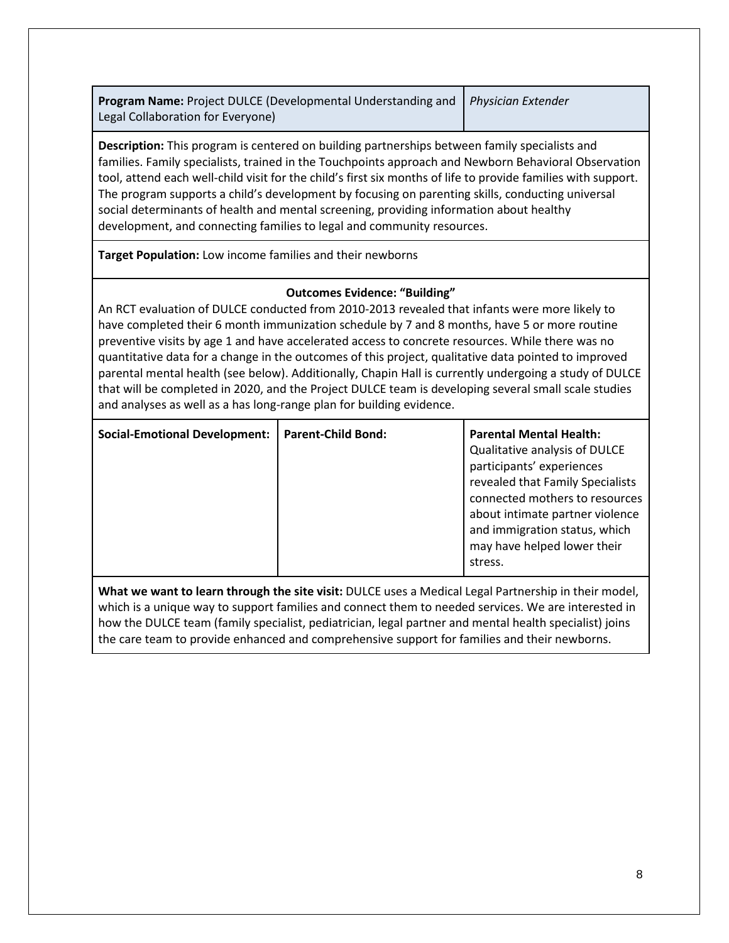**Program Name:** Project DULCE (Developmental Understanding and Legal Collaboration for Everyone)

*Physician Extender*

**Description:** This program is centered on building partnerships between family specialists and families. Family specialists, trained in the Touchpoints approach and Newborn Behavioral Observation tool, attend each well-child visit for the child's first six months of life to provide families with support. The program supports a child's development by focusing on parenting skills, conducting universal social determinants of health and mental screening, providing information about healthy development, and connecting families to legal and community resources.

**Target Population:** Low income families and their newborns

# **Outcomes Evidence: "Building"**

An RCT evaluation of DULCE conducted from 2010-2013 revealed that infants were more likely to have completed their 6 month immunization schedule by 7 and 8 months, have 5 or more routine preventive visits by age 1 and have accelerated access to concrete resources. While there was no quantitative data for a change in the outcomes of this project, qualitative data pointed to improved parental mental health (see below). Additionally, Chapin Hall is currently undergoing a study of DULCE that will be completed in 2020, and the Project DULCE team is developing several small scale studies and analyses as well as a has long-range plan for building evidence.

| <b>Social-Emotional Development:</b> | <b>Parent-Child Bond:</b> | <b>Parental Mental Health:</b><br>Qualitative analysis of DULCE<br>participants' experiences<br>revealed that Family Specialists<br>connected mothers to resources<br>about intimate partner violence<br>and immigration status, which<br>may have helped lower their<br>stress. |
|--------------------------------------|---------------------------|----------------------------------------------------------------------------------------------------------------------------------------------------------------------------------------------------------------------------------------------------------------------------------|
|--------------------------------------|---------------------------|----------------------------------------------------------------------------------------------------------------------------------------------------------------------------------------------------------------------------------------------------------------------------------|

**What we want to learn through the site visit:** DULCE uses a Medical Legal Partnership in their model, which is a unique way to support families and connect them to needed services. We are interested in how the DULCE team (family specialist, pediatrician, legal partner and mental health specialist) joins the care team to provide enhanced and comprehensive support for families and their newborns.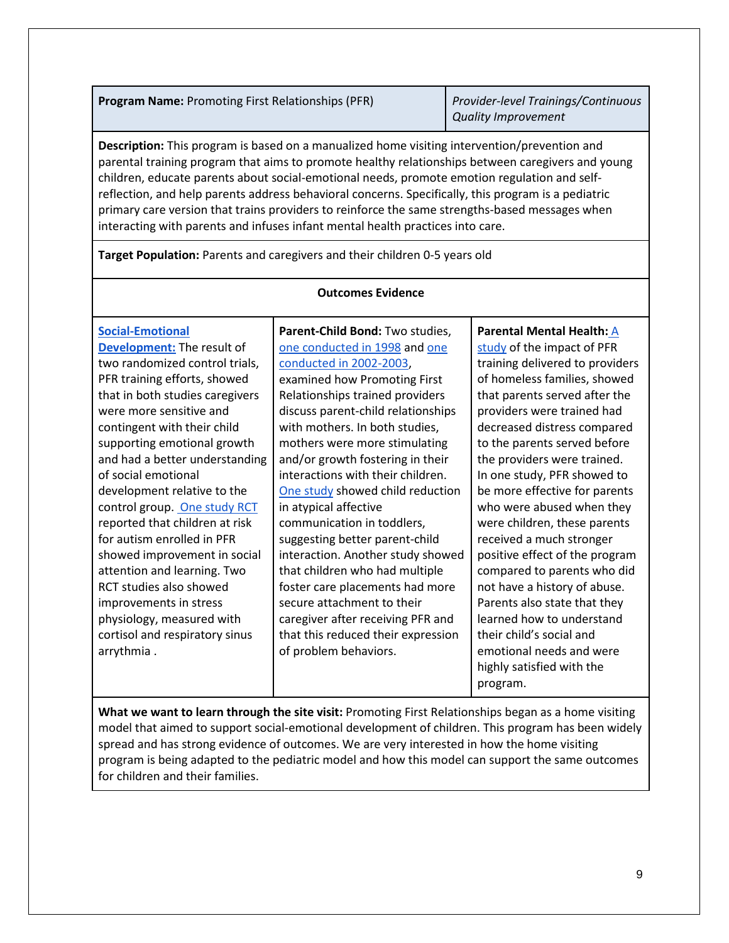**Program Name:** Promoting First Relationships (PFR) *Provider-level Trainings/Continuous* 

*Quality Improvement*

**Description:** This program is based on a manualized home visiting intervention/prevention and parental training program that aims to promote healthy relationships between caregivers and young children, educate parents about social-emotional needs, promote emotion regulation and selfreflection, and help parents address behavioral concerns. Specifically, this program is a pediatric primary care version that trains providers to reinforce the same strengths-based messages when interacting with parents and infuses infant mental health practices into care.

**Target Population:** Parents and caregivers and their children 0-5 years old

### **Outcomes Evidence**

| Parent-Child Bond: Two studies,<br>one conducted in 1998 and one<br>conducted in 2002-2003,<br>examined how Promoting First<br>Relationships trained providers<br>discuss parent-child relationships<br>with mothers. In both studies,<br>mothers were more stimulating<br>and/or growth fostering in their<br>interactions with their children.<br>One study showed child reduction<br>in atypical affective<br>communication in toddlers,<br>suggesting better parent-child | Parental Mental Health: A<br>study of the impact of PFR<br>training delivered to providers<br>of homeless families, showed<br>that parents served after the<br>providers were trained had<br>decreased distress compared<br>to the parents served before<br>the providers were trained.<br>In one study, PFR showed to<br>be more effective for parents<br>who were abused when they<br>were children, these parents<br>received a much stronger |
|-------------------------------------------------------------------------------------------------------------------------------------------------------------------------------------------------------------------------------------------------------------------------------------------------------------------------------------------------------------------------------------------------------------------------------------------------------------------------------|--------------------------------------------------------------------------------------------------------------------------------------------------------------------------------------------------------------------------------------------------------------------------------------------------------------------------------------------------------------------------------------------------------------------------------------------------|
| interaction. Another study showed<br>that children who had multiple<br>foster care placements had more<br>secure attachment to their<br>caregiver after receiving PFR and<br>that this reduced their expression<br>of problem behaviors.                                                                                                                                                                                                                                      | positive effect of the program<br>compared to parents who did<br>not have a history of abuse.<br>Parents also state that they<br>learned how to understand<br>their child's social and<br>emotional needs and were<br>highly satisfied with the<br>program.                                                                                                                                                                                      |
|                                                                                                                                                                                                                                                                                                                                                                                                                                                                               |                                                                                                                                                                                                                                                                                                                                                                                                                                                  |

**What we want to learn through the site visit:** Promoting First Relationships began as a home visiting model that aimed to support social-emotional development of children. This program has been widely spread and has strong evidence of outcomes. We are very interested in how the home visiting program is being adapted to the pediatric model and how this model can support the same outcomes for children and their families.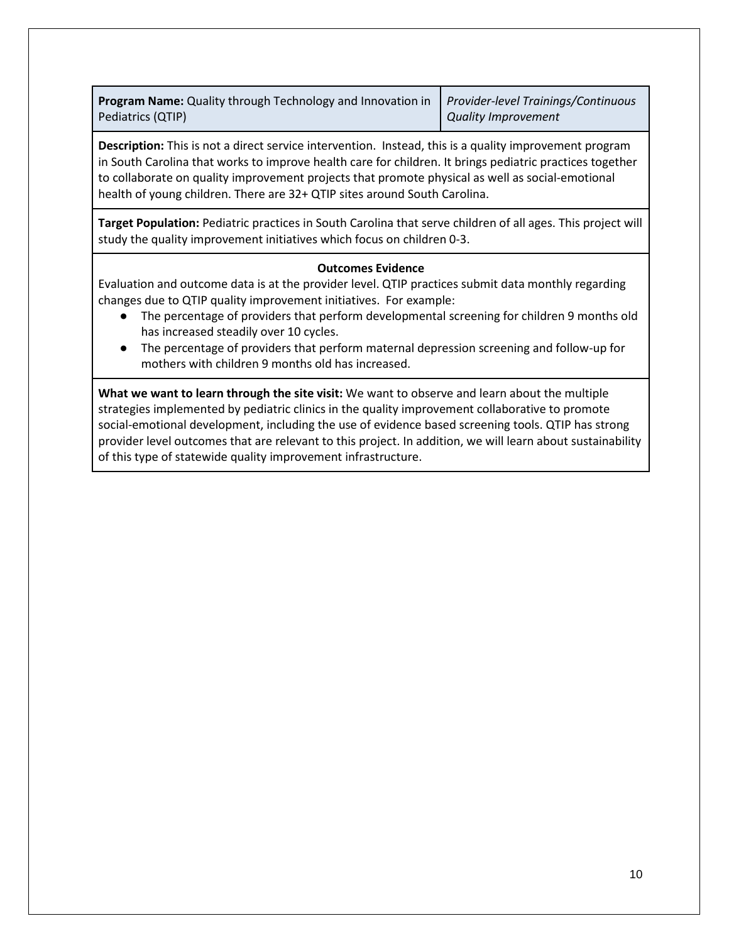**Program Name:** Quality through Technology and Innovation in Pediatrics (QTIP)

*Provider-level Trainings/Continuous Quality Improvement*

**Description:** This is not a direct service intervention. Instead, this is a quality improvement program in South Carolina that works to improve health care for children. It brings pediatric practices together to collaborate on quality improvement projects that promote physical as well as social-emotional health of young children. There are 32+ QTIP sites around South Carolina.

**Target Population:** Pediatric practices in South Carolina that serve children of all ages. This project will study the quality improvement initiatives which focus on children 0-3.

### **Outcomes Evidence**

Evaluation and outcome data is at the provider level. QTIP practices submit data monthly regarding changes due to QTIP quality improvement initiatives. For example:

- The percentage of providers that perform developmental screening for children 9 months old has increased steadily over 10 cycles.
- The percentage of providers that perform maternal depression screening and follow-up for mothers with children 9 months old has increased.

**What we want to learn through the site visit:** We want to observe and learn about the multiple strategies implemented by pediatric clinics in the quality improvement collaborative to promote social-emotional development, including the use of evidence based screening tools. QTIP has strong provider level outcomes that are relevant to this project. In addition, we will learn about sustainability of this type of statewide quality improvement infrastructure.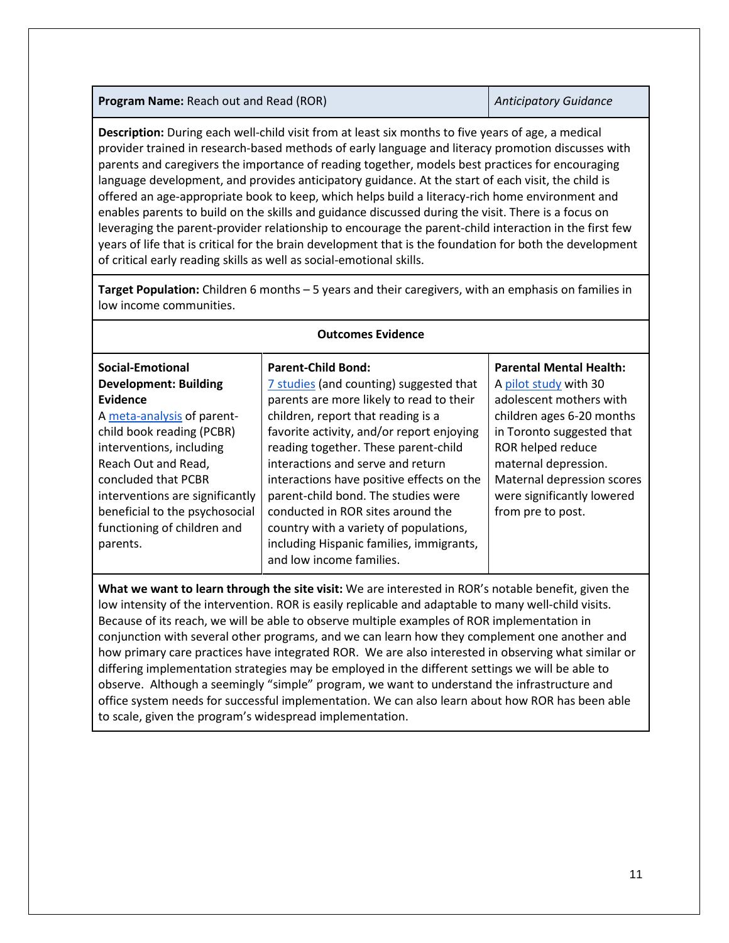**Program Name:** Reach out and Read (ROR) *Anticipatory Guidance* 

**Description:** During each well-child visit from at least six months to five years of age, a medical provider trained in research-based methods of early language and literacy promotion discusses with parents and caregivers the importance of reading together, models best practices for encouraging language development, and provides anticipatory guidance. At the start of each visit, the child is offered an age-appropriate book to keep, which helps build a literacy-rich home environment and enables parents to build on the skills and guidance discussed during the visit. There is a focus on leveraging the parent-provider relationship to encourage the parent-child interaction in the first few years of life that is critical for the brain development that is the foundation for both the development of critical early reading skills as well as social-emotional skills.

**Target Population:** Children 6 months – 5 years and their caregivers, with an emphasis on families in low income communities.

| <b>Outcomes Evidence</b>                                                                                                                                                                                                                                                                                                                                                                                                                                                                                           |                                                                                                                                                                                                                                                                                                                                                                                                                                                                                                                             |                                                                                                                                                                                                                                                                            |  |
|--------------------------------------------------------------------------------------------------------------------------------------------------------------------------------------------------------------------------------------------------------------------------------------------------------------------------------------------------------------------------------------------------------------------------------------------------------------------------------------------------------------------|-----------------------------------------------------------------------------------------------------------------------------------------------------------------------------------------------------------------------------------------------------------------------------------------------------------------------------------------------------------------------------------------------------------------------------------------------------------------------------------------------------------------------------|----------------------------------------------------------------------------------------------------------------------------------------------------------------------------------------------------------------------------------------------------------------------------|--|
| Social-Emotional<br><b>Development: Building</b><br><b>Evidence</b><br>A meta-analysis of parent-<br>child book reading (PCBR)<br>interventions, including<br>Reach Out and Read,<br>concluded that PCBR<br>interventions are significantly<br>beneficial to the psychosocial<br>functioning of children and<br>parents.                                                                                                                                                                                           | <b>Parent-Child Bond:</b><br>7 studies (and counting) suggested that<br>parents are more likely to read to their<br>children, report that reading is a<br>favorite activity, and/or report enjoying<br>reading together. These parent-child<br>interactions and serve and return<br>interactions have positive effects on the<br>parent-child bond. The studies were<br>conducted in ROR sites around the<br>country with a variety of populations,<br>including Hispanic families, immigrants,<br>and low income families. | <b>Parental Mental Health:</b><br>A pilot study with 30<br>adolescent mothers with<br>children ages 6-20 months<br>in Toronto suggested that<br>ROR helped reduce<br>maternal depression.<br>Maternal depression scores<br>were significantly lowered<br>from pre to post. |  |
| What we want to learn through the site visit: We are interested in ROR's notable benefit, given the<br>low intensity of the intervention. ROR is easily replicable and adaptable to many well-child visits.<br>Because of its reach, we will be able to observe multiple examples of ROR implementation in<br>conjunction with several other programs, and we can learn how they complement one another and<br>how primary care practices have integrated ROR. We are also interested in observing what similar or |                                                                                                                                                                                                                                                                                                                                                                                                                                                                                                                             |                                                                                                                                                                                                                                                                            |  |

**Outcomes Evidence**

differing implementation strategies may be employed in the different settings we will be able to observe. Although a seemingly "simple" program, we want to understand the infrastructure and office system needs for successful implementation. We can also learn about how ROR has been able to scale, given the program's widespread implementation.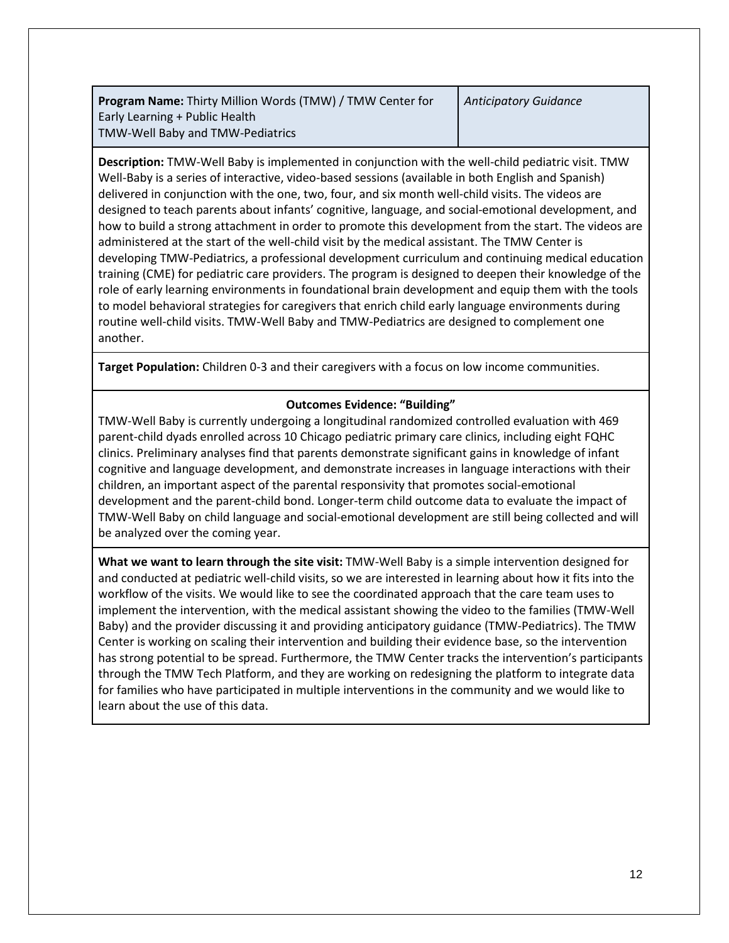**Program Name:** Thirty Million Words (TMW) / TMW Center for Early Learning + Public Health TMW-Well Baby and TMW-Pediatrics

**Description:** TMW-Well Baby is implemented in conjunction with the well-child pediatric visit. TMW Well-Baby is a series of interactive, video-based sessions (available in both English and Spanish) delivered in conjunction with the one, two, four, and six month well-child visits. The videos are designed to teach parents about infants' cognitive, language, and social-emotional development, and how to build a strong attachment in order to promote this development from the start. The videos are administered at the start of the well-child visit by the medical assistant. The TMW Center is developing TMW-Pediatrics, a professional development curriculum and continuing medical education training (CME) for pediatric care providers. The program is designed to deepen their knowledge of the role of early learning environments in foundational brain development and equip them with the tools to model behavioral strategies for caregivers that enrich child early language environments during routine well-child visits. TMW-Well Baby and TMW-Pediatrics are designed to complement one another.

**Target Population:** Children 0-3 and their caregivers with a focus on low income communities.

# **Outcomes Evidence: "Building"**

TMW-Well Baby is currently undergoing a longitudinal randomized controlled evaluation with 469 parent-child dyads enrolled across 10 Chicago pediatric primary care clinics, including eight FQHC clinics. Preliminary analyses find that parents demonstrate significant gains in knowledge of infant cognitive and language development, and demonstrate increases in language interactions with their children, an important aspect of the parental responsivity that promotes social-emotional development and the parent-child bond. Longer-term child outcome data to evaluate the impact of TMW-Well Baby on child language and social-emotional development are still being collected and will be analyzed over the coming year.

**What we want to learn through the site visit:** TMW-Well Baby is a simple intervention designed for and conducted at pediatric well-child visits, so we are interested in learning about how it fits into the workflow of the visits. We would like to see the coordinated approach that the care team uses to implement the intervention, with the medical assistant showing the video to the families (TMW-Well Baby) and the provider discussing it and providing anticipatory guidance (TMW-Pediatrics). The TMW Center is working on scaling their intervention and building their evidence base, so the intervention has strong potential to be spread. Furthermore, the TMW Center tracks the intervention's participants through the TMW Tech Platform, and they are working on redesigning the platform to integrate data for families who have participated in multiple interventions in the community and we would like to learn about the use of this data.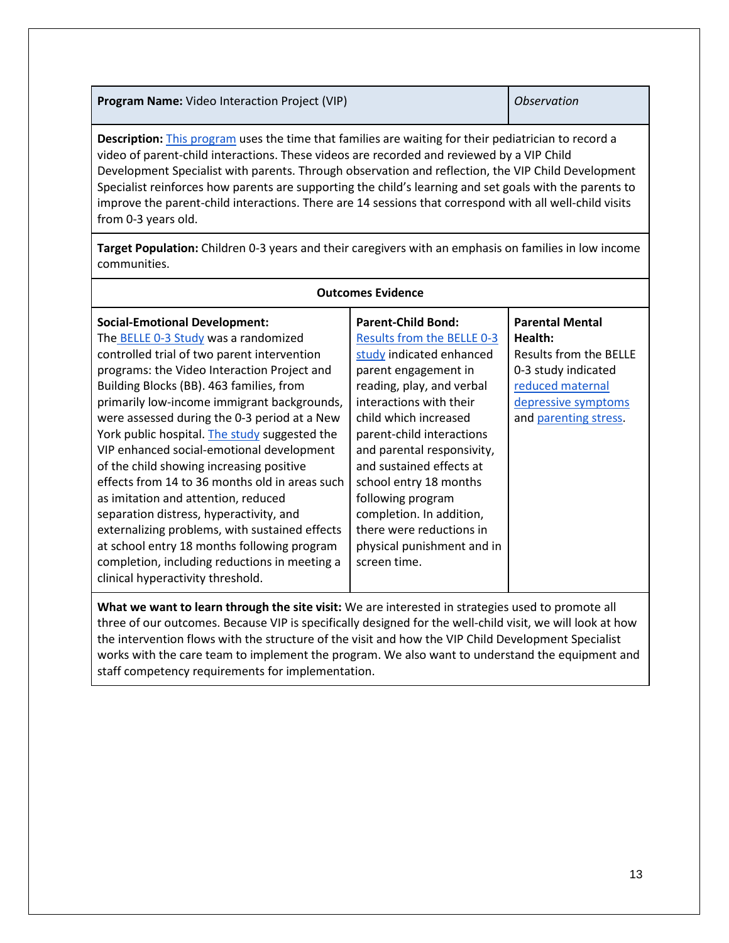**Program Name:** Video Interaction Project (VIP) **District in the United States of America** Christmas **Christian Observation** 

**Description:** [This program](https://www.youtube.com/watch?v=CkcJCz9JdX0&feature=youtu.be) uses the time that families are waiting for their pediatrician to record a video of parent-child interactions. These videos are recorded and reviewed by a VIP Child Development Specialist with parents. Through observation and reflection, the VIP Child Development Specialist reinforces how parents are supporting the child's learning and set goals with the parents to improve the parent-child interactions. There are 14 sessions that correspond with all well-child visits from 0-3 years old.

**Target Population:** Children 0-3 years and their caregivers with an emphasis on families in low income communities.

| <b>Outcomes Evidence</b>                                                                                                                                                                                                                                                                                                                                                                                                                                                                                                                                                                                                                                                                                                                                                                   |                                                                                                                                                                                                                                                                                                                                                                                                                                          |                                                                                                                                                        |  |
|--------------------------------------------------------------------------------------------------------------------------------------------------------------------------------------------------------------------------------------------------------------------------------------------------------------------------------------------------------------------------------------------------------------------------------------------------------------------------------------------------------------------------------------------------------------------------------------------------------------------------------------------------------------------------------------------------------------------------------------------------------------------------------------------|------------------------------------------------------------------------------------------------------------------------------------------------------------------------------------------------------------------------------------------------------------------------------------------------------------------------------------------------------------------------------------------------------------------------------------------|--------------------------------------------------------------------------------------------------------------------------------------------------------|--|
| <b>Social-Emotional Development:</b><br>The BELLE 0-3 Study was a randomized<br>controlled trial of two parent intervention<br>programs: the Video Interaction Project and<br>Building Blocks (BB). 463 families, from<br>primarily low-income immigrant backgrounds,<br>were assessed during the 0-3 period at a New<br>York public hospital. The study suggested the<br>VIP enhanced social-emotional development<br>of the child showing increasing positive<br>effects from 14 to 36 months old in areas such<br>as imitation and attention, reduced<br>separation distress, hyperactivity, and<br>externalizing problems, with sustained effects<br>at school entry 18 months following program<br>completion, including reductions in meeting a<br>clinical hyperactivity threshold. | <b>Parent-Child Bond:</b><br>Results from the BELLE 0-3<br>study indicated enhanced<br>parent engagement in<br>reading, play, and verbal<br>interactions with their<br>child which increased<br>parent-child interactions<br>and parental responsivity,<br>and sustained effects at<br>school entry 18 months<br>following program<br>completion. In addition,<br>there were reductions in<br>physical punishment and in<br>screen time. | <b>Parental Mental</b><br>Health:<br>Results from the BELLE<br>0-3 study indicated<br>reduced maternal<br>depressive symptoms<br>and parenting stress. |  |

**What we want to learn through the site visit:** We are interested in strategies used to promote all three of our outcomes. Because VIP is specifically designed for the well-child visit, we will look at how the intervention flows with the structure of the visit and how the VIP Child Development Specialist works with the care team to implement the program. We also want to understand the equipment and staff competency requirements for implementation.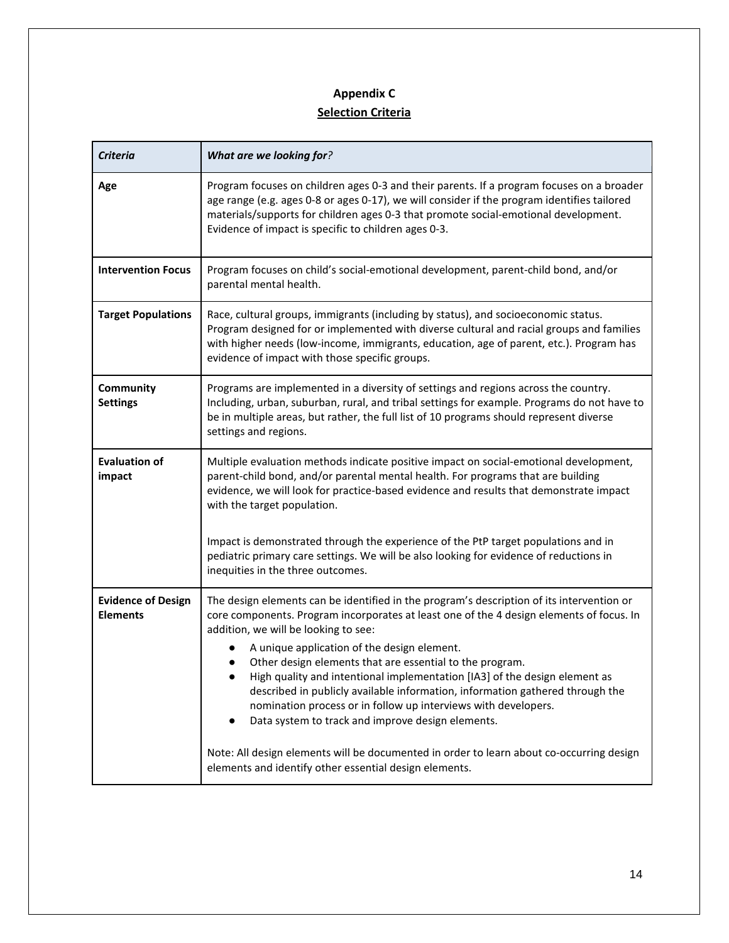# **Appendix C Selection Criteria**

| <b>Criteria</b>                              | What are we looking for?                                                                                                                                                                                                                                                                                                                                                                                                                                                                                                                                                                                                                                                                                                                                                             |  |
|----------------------------------------------|--------------------------------------------------------------------------------------------------------------------------------------------------------------------------------------------------------------------------------------------------------------------------------------------------------------------------------------------------------------------------------------------------------------------------------------------------------------------------------------------------------------------------------------------------------------------------------------------------------------------------------------------------------------------------------------------------------------------------------------------------------------------------------------|--|
| Age                                          | Program focuses on children ages 0-3 and their parents. If a program focuses on a broader<br>age range (e.g. ages 0-8 or ages 0-17), we will consider if the program identifies tailored<br>materials/supports for children ages 0-3 that promote social-emotional development.<br>Evidence of impact is specific to children ages 0-3.                                                                                                                                                                                                                                                                                                                                                                                                                                              |  |
| <b>Intervention Focus</b>                    | Program focuses on child's social-emotional development, parent-child bond, and/or<br>parental mental health.                                                                                                                                                                                                                                                                                                                                                                                                                                                                                                                                                                                                                                                                        |  |
| <b>Target Populations</b>                    | Race, cultural groups, immigrants (including by status), and socioeconomic status.<br>Program designed for or implemented with diverse cultural and racial groups and families<br>with higher needs (low-income, immigrants, education, age of parent, etc.). Program has<br>evidence of impact with those specific groups.                                                                                                                                                                                                                                                                                                                                                                                                                                                          |  |
| Community<br><b>Settings</b>                 | Programs are implemented in a diversity of settings and regions across the country.<br>Including, urban, suburban, rural, and tribal settings for example. Programs do not have to<br>be in multiple areas, but rather, the full list of 10 programs should represent diverse<br>settings and regions.                                                                                                                                                                                                                                                                                                                                                                                                                                                                               |  |
| <b>Evaluation of</b><br>impact               | Multiple evaluation methods indicate positive impact on social-emotional development,<br>parent-child bond, and/or parental mental health. For programs that are building<br>evidence, we will look for practice-based evidence and results that demonstrate impact<br>with the target population.                                                                                                                                                                                                                                                                                                                                                                                                                                                                                   |  |
|                                              | Impact is demonstrated through the experience of the PtP target populations and in<br>pediatric primary care settings. We will be also looking for evidence of reductions in<br>inequities in the three outcomes.                                                                                                                                                                                                                                                                                                                                                                                                                                                                                                                                                                    |  |
| <b>Evidence of Design</b><br><b>Elements</b> | The design elements can be identified in the program's description of its intervention or<br>core components. Program incorporates at least one of the 4 design elements of focus. In<br>addition, we will be looking to see:<br>A unique application of the design element.<br>Other design elements that are essential to the program.<br>High quality and intentional implementation [IA3] of the design element as<br>described in publicly available information, information gathered through the<br>nomination process or in follow up interviews with developers.<br>Data system to track and improve design elements.<br>Note: All design elements will be documented in order to learn about co-occurring design<br>elements and identify other essential design elements. |  |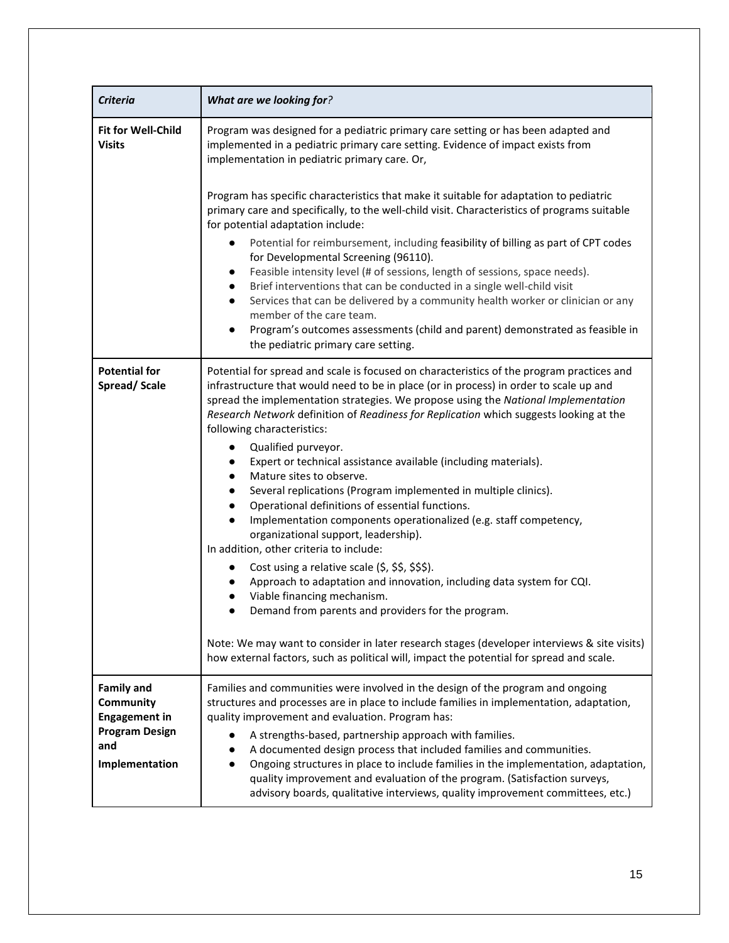| <b>Criteria</b>                                                                                          | What are we looking for?                                                                                                                                                                                                                                                                                                                                                                                                                                                                                                                                                                                                                                                                                                                                                                                                                                                                                                                                                                                                                                                                                                                                                                                                                                                           |
|----------------------------------------------------------------------------------------------------------|------------------------------------------------------------------------------------------------------------------------------------------------------------------------------------------------------------------------------------------------------------------------------------------------------------------------------------------------------------------------------------------------------------------------------------------------------------------------------------------------------------------------------------------------------------------------------------------------------------------------------------------------------------------------------------------------------------------------------------------------------------------------------------------------------------------------------------------------------------------------------------------------------------------------------------------------------------------------------------------------------------------------------------------------------------------------------------------------------------------------------------------------------------------------------------------------------------------------------------------------------------------------------------|
| Fit for Well-Child<br><b>Visits</b>                                                                      | Program was designed for a pediatric primary care setting or has been adapted and<br>implemented in a pediatric primary care setting. Evidence of impact exists from<br>implementation in pediatric primary care. Or,                                                                                                                                                                                                                                                                                                                                                                                                                                                                                                                                                                                                                                                                                                                                                                                                                                                                                                                                                                                                                                                              |
|                                                                                                          | Program has specific characteristics that make it suitable for adaptation to pediatric<br>primary care and specifically, to the well-child visit. Characteristics of programs suitable<br>for potential adaptation include:<br>Potential for reimbursement, including feasibility of billing as part of CPT codes<br>for Developmental Screening (96110).<br>Feasible intensity level (# of sessions, length of sessions, space needs).<br>٠<br>Brief interventions that can be conducted in a single well-child visit<br>Services that can be delivered by a community health worker or clinician or any<br>member of the care team.<br>Program's outcomes assessments (child and parent) demonstrated as feasible in<br>the pediatric primary care setting.                                                                                                                                                                                                                                                                                                                                                                                                                                                                                                                      |
| <b>Potential for</b><br>Spread/Scale                                                                     | Potential for spread and scale is focused on characteristics of the program practices and<br>infrastructure that would need to be in place (or in process) in order to scale up and<br>spread the implementation strategies. We propose using the National Implementation<br>Research Network definition of Readiness for Replication which suggests looking at the<br>following characteristics:<br>Qualified purveyor.<br>$\bullet$<br>Expert or technical assistance available (including materials).<br>$\bullet$<br>Mature sites to observe.<br>$\bullet$<br>Several replications (Program implemented in multiple clinics).<br>Operational definitions of essential functions.<br>$\bullet$<br>Implementation components operationalized (e.g. staff competency,<br>$\bullet$<br>organizational support, leadership).<br>In addition, other criteria to include:<br>Cost using a relative scale (\$, \$\$, \$\$\$).<br>Approach to adaptation and innovation, including data system for CQI.<br>Viable financing mechanism.<br>Demand from parents and providers for the program.<br>Note: We may want to consider in later research stages (developer interviews & site visits)<br>how external factors, such as political will, impact the potential for spread and scale. |
| <b>Family and</b><br>Community<br><b>Engagement in</b><br><b>Program Design</b><br>and<br>Implementation | Families and communities were involved in the design of the program and ongoing<br>structures and processes are in place to include families in implementation, adaptation,<br>quality improvement and evaluation. Program has:<br>A strengths-based, partnership approach with families.<br>A documented design process that included families and communities.<br>Ongoing structures in place to include families in the implementation, adaptation,<br>quality improvement and evaluation of the program. (Satisfaction surveys,<br>advisory boards, qualitative interviews, quality improvement committees, etc.)                                                                                                                                                                                                                                                                                                                                                                                                                                                                                                                                                                                                                                                              |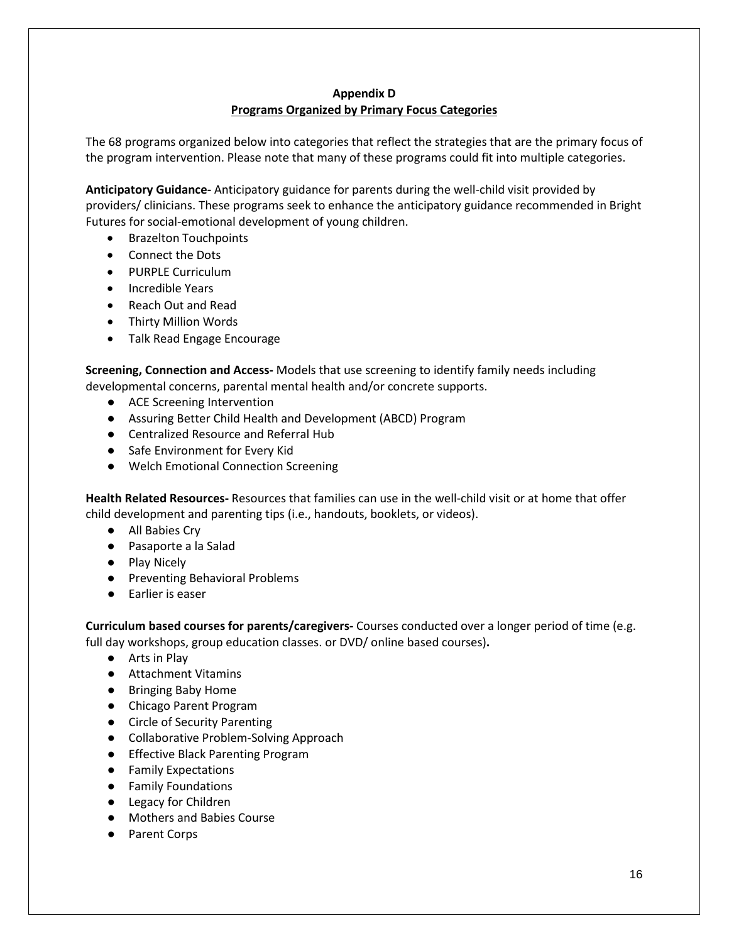## **Appendix D Programs Organized by Primary Focus Categories**

The 68 programs organized below into categories that reflect the strategies that are the primary focus of the program intervention. Please note that many of these programs could fit into multiple categories.

**Anticipatory Guidance-** Anticipatory guidance for parents during the well-child visit provided by providers/ clinicians. These programs seek to enhance the anticipatory guidance recommended in Bright Futures for social-emotional development of young children.

- Brazelton Touchpoints
- Connect the Dots
- PURPLE Curriculum
- Incredible Years
- Reach Out and Read
- Thirty Million Words
- Talk Read Engage Encourage

**Screening, Connection and Access-** Models that use screening to identify family needs including developmental concerns, parental mental health and/or concrete supports.

- ACE Screening Intervention
- Assuring Better Child Health and Development (ABCD) Program
- Centralized Resource and Referral Hub
- Safe Environment for Every Kid
- Welch Emotional Connection Screening

**Health Related Resources-** Resources that families can use in the well-child visit or at home that offer child development and parenting tips (i.e., handouts, booklets, or videos).

- All Babies Cry
- Pasaporte a la Salad
- Play Nicely
- Preventing Behavioral Problems
- Earlier is easer

**Curriculum based courses for parents/caregivers-** Courses conducted over a longer period of time (e.g. full day workshops, group education classes. or DVD/ online based courses)**.**

- Arts in Play
- Attachment Vitamins
- Bringing Baby Home
- Chicago Parent Program
- Circle of Security Parenting
- Collaborative Problem-Solving Approach
- Effective Black Parenting Program
- Family Expectations
- Family Foundations
- Legacy for Children
- Mothers and Babies Course
- Parent Corps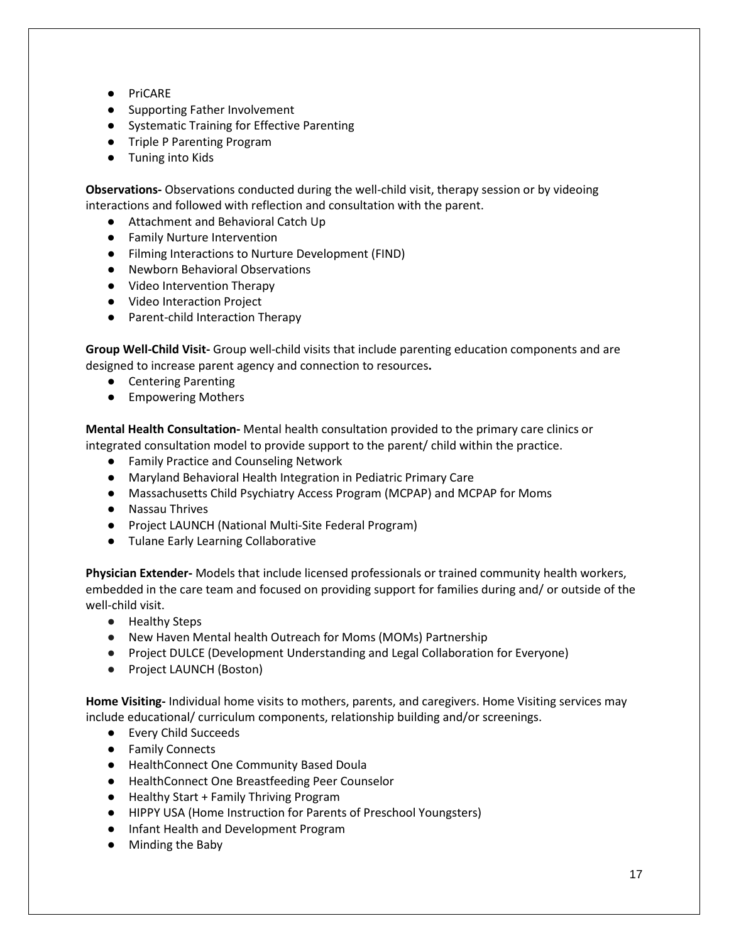- PriCARE
- Supporting Father Involvement
- Systematic Training for Effective Parenting
- Triple P Parenting Program
- Tuning into Kids

**Observations-** Observations conducted during the well-child visit, therapy session or by videoing interactions and followed with reflection and consultation with the parent.

- Attachment and Behavioral Catch Up
- Family Nurture Intervention
- Filming Interactions to Nurture Development (FIND)
- Newborn Behavioral Observations
- Video Intervention Therapy
- Video Interaction Project
- Parent-child Interaction Therapy

**Group Well-Child Visit-** Group well-child visits that include parenting education components and are designed to increase parent agency and connection to resources**.**

- Centering Parenting
- Empowering Mothers

**Mental Health Consultation-** Mental health consultation provided to the primary care clinics or integrated consultation model to provide support to the parent/ child within the practice.

- Family Practice and Counseling Network
- Maryland Behavioral Health Integration in Pediatric Primary Care
- Massachusetts Child Psychiatry Access Program (MCPAP) and MCPAP for Moms
- Nassau Thrives
- Project LAUNCH (National Multi-Site Federal Program)
- Tulane Early Learning Collaborative

**Physician Extender-** Models that include licensed professionals or trained community health workers, embedded in the care team and focused on providing support for families during and/ or outside of the well-child visit.

- Healthy Steps
- New Haven Mental health Outreach for Moms (MOMs) Partnership
- Project DULCE (Development Understanding and Legal Collaboration for Everyone)
- Project LAUNCH (Boston)

**Home Visiting-** Individual home visits to mothers, parents, and caregivers. Home Visiting services may include educational/ curriculum components, relationship building and/or screenings.

- Every Child Succeeds
- Family Connects
- HealthConnect One Community Based Doula
- HealthConnect One Breastfeeding Peer Counselor
- Healthy Start + Family Thriving Program
- HIPPY USA (Home Instruction for Parents of Preschool Youngsters)
- Infant Health and Development Program
- Minding the Baby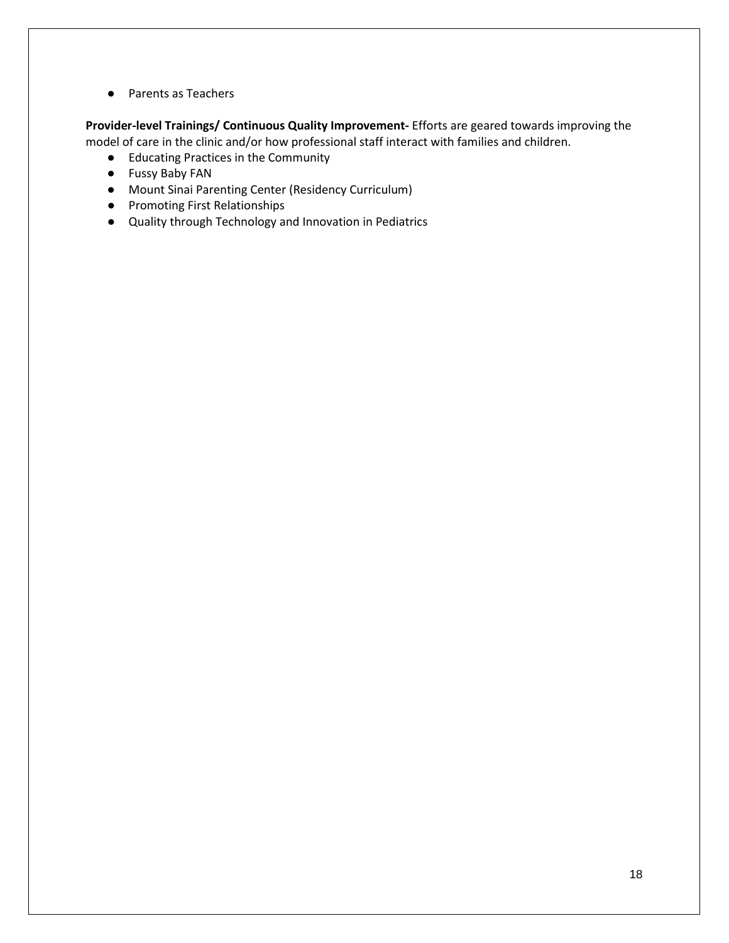● Parents as Teachers

**Provider-level Trainings/ Continuous Quality Improvement-** Efforts are geared towards improving the model of care in the clinic and/or how professional staff interact with families and children.

- Educating Practices in the Community
- Fussy Baby FAN
- Mount Sinai Parenting Center (Residency Curriculum)
- Promoting First Relationships
- Quality through Technology and Innovation in Pediatrics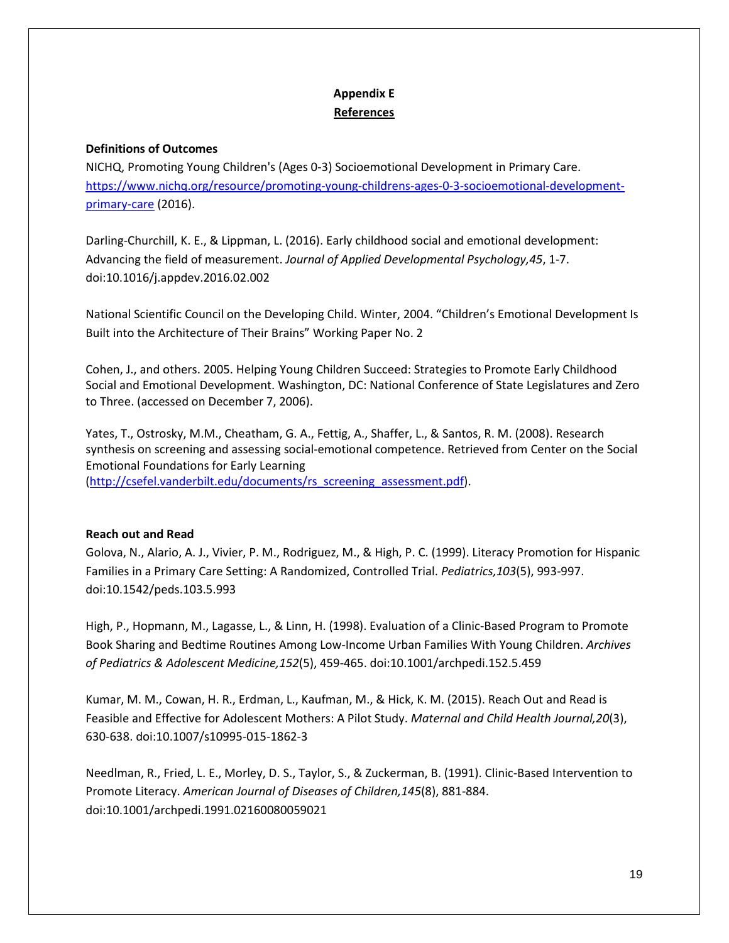# **Appendix E References**

## **Definitions of Outcomes**

NICHQ, Promoting Young Children's (Ages 0-3) Socioemotional Development in Primary Care. [https://www.nichq.org/resource/promoting-young-childrens-ages-0-3-socioemotional-development](https://www.nichq.org/resource/promoting-young-childrens-ages-0-3-socioemotional-development-primary-care)[primary-care](https://www.nichq.org/resource/promoting-young-childrens-ages-0-3-socioemotional-development-primary-care) (2016).

Darling-Churchill, K. E., & Lippman, L. (2016). Early childhood social and emotional development: Advancing the field of measurement. *Journal of Applied Developmental Psychology,45*, 1-7. doi:10.1016/j.appdev.2016.02.002

National Scientific Council on the Developing Child. Winter, 2004. "Children's Emotional Development Is Built into the Architecture of Their Brains" Working Paper No. 2

Cohen, J., and others. 2005. Helping Young Children Succeed: Strategies to Promote Early Childhood Social and Emotional Development. Washington, DC: National Conference of State Legislatures and Zero to Three. (accessed on December 7, 2006).

Yates, T., Ostrosky, M.M., Cheatham, G. A., Fettig, A., Shaffer, L., & Santos, R. M. (2008). Research synthesis on screening and assessing social-emotional competence. Retrieved from Center on the Social Emotional Foundations for Early Learning [\(http://csefel.vanderbilt.edu/documents/rs\\_screening\\_assessment.pdf\)](http://csefel.vanderbilt.edu/documents/rs_screening_assessment.pdf).

### **Reach out and Read**

Golova, N., Alario, A. J., Vivier, P. M., Rodriguez, M., & High, P. C. (1999). Literacy Promotion for Hispanic Families in a Primary Care Setting: A Randomized, Controlled Trial. *Pediatrics,103*(5), 993-997. doi:10.1542/peds.103.5.993

High, P., Hopmann, M., Lagasse, L., & Linn, H. (1998). Evaluation of a Clinic-Based Program to Promote Book Sharing and Bedtime Routines Among Low-Income Urban Families With Young Children. *Archives of Pediatrics & Adolescent Medicine,152*(5), 459-465. doi:10.1001/archpedi.152.5.459

Kumar, M. M., Cowan, H. R., Erdman, L., Kaufman, M., & Hick, K. M. (2015). Reach Out and Read is Feasible and Effective for Adolescent Mothers: A Pilot Study. *Maternal and Child Health Journal,20*(3), 630-638. doi:10.1007/s10995-015-1862-3

Needlman, R., Fried, L. E., Morley, D. S., Taylor, S., & Zuckerman, B. (1991). Clinic-Based Intervention to Promote Literacy. *American Journal of Diseases of Children,145*(8), 881-884. doi:10.1001/archpedi.1991.02160080059021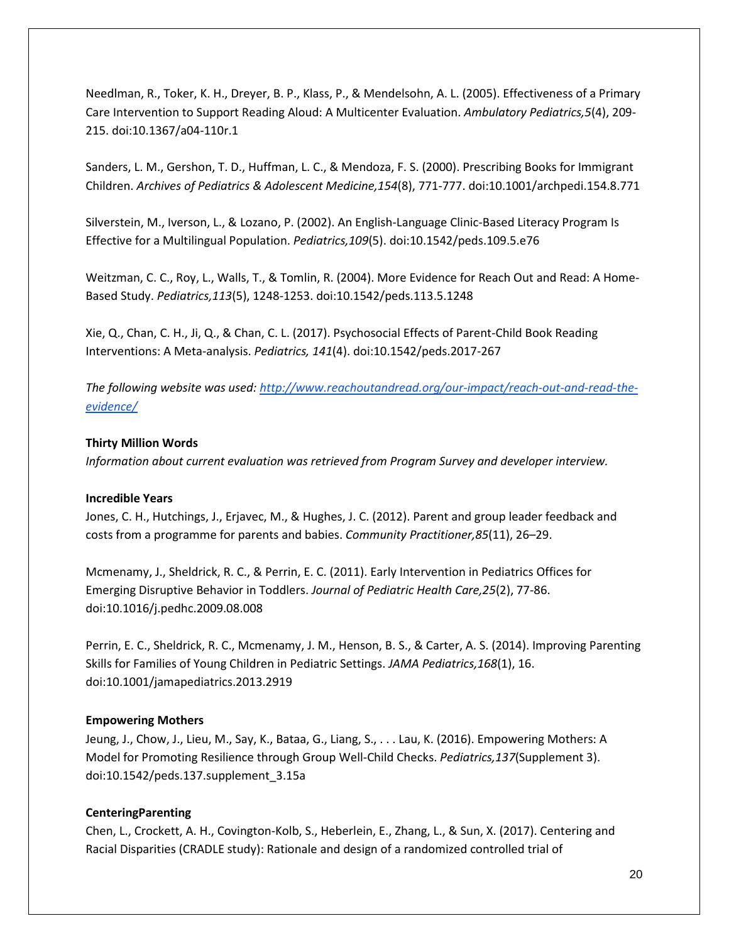Needlman, R., Toker, K. H., Dreyer, B. P., Klass, P., & Mendelsohn, A. L. (2005). Effectiveness of a Primary Care Intervention to Support Reading Aloud: A Multicenter Evaluation. *Ambulatory Pediatrics,5*(4), 209- 215. doi:10.1367/a04-110r.1

Sanders, L. M., Gershon, T. D., Huffman, L. C., & Mendoza, F. S. (2000). Prescribing Books for Immigrant Children. *Archives of Pediatrics & Adolescent Medicine,154*(8), 771-777. doi:10.1001/archpedi.154.8.771

Silverstein, M., Iverson, L., & Lozano, P. (2002). An English-Language Clinic-Based Literacy Program Is Effective for a Multilingual Population. *Pediatrics,109*(5). doi:10.1542/peds.109.5.e76

Weitzman, C. C., Roy, L., Walls, T., & Tomlin, R. (2004). More Evidence for Reach Out and Read: A Home-Based Study. *Pediatrics,113*(5), 1248-1253. doi:10.1542/peds.113.5.1248

Xie, Q., Chan, C. H., Ji, Q., & Chan, C. L. (2017). Psychosocial Effects of Parent-Child Book Reading Interventions: A Meta-analysis. *Pediatrics, 141*(4). doi:10.1542/peds.2017-267

*The following website was used: [http://www.reachoutandread.org/our-impact/reach-out-and-read-the](http://www.reachoutandread.org/our-impact/reach-out-and-read-the-evidence/)[evidence/](http://www.reachoutandread.org/our-impact/reach-out-and-read-the-evidence/)*

### **Thirty Million Words**

*Information about current evaluation was retrieved from Program Survey and developer interview.*

### **Incredible Years**

Jones, C. H., Hutchings, J., Erjavec, M., & Hughes, J. C. (2012). Parent and group leader feedback and costs from a programme for parents and babies. *Community Practitioner,85*(11), 26–29.

Mcmenamy, J., Sheldrick, R. C., & Perrin, E. C. (2011). Early Intervention in Pediatrics Offices for Emerging Disruptive Behavior in Toddlers. *Journal of Pediatric Health Care,25*(2), 77-86. doi:10.1016/j.pedhc.2009.08.008

Perrin, E. C., Sheldrick, R. C., Mcmenamy, J. M., Henson, B. S., & Carter, A. S. (2014). Improving Parenting Skills for Families of Young Children in Pediatric Settings. *JAMA Pediatrics,168*(1), 16. doi:10.1001/jamapediatrics.2013.2919

### **Empowering Mothers**

Jeung, J., Chow, J., Lieu, M., Say, K., Bataa, G., Liang, S., . . . Lau, K. (2016). Empowering Mothers: A Model for Promoting Resilience through Group Well-Child Checks. *Pediatrics,137*(Supplement 3). doi:10.1542/peds.137.supplement\_3.15a

## **CenteringParenting**

Chen, L., Crockett, A. H., Covington-Kolb, S., Heberlein, E., Zhang, L., & Sun, X. (2017). Centering and Racial Disparities (CRADLE study): Rationale and design of a randomized controlled trial of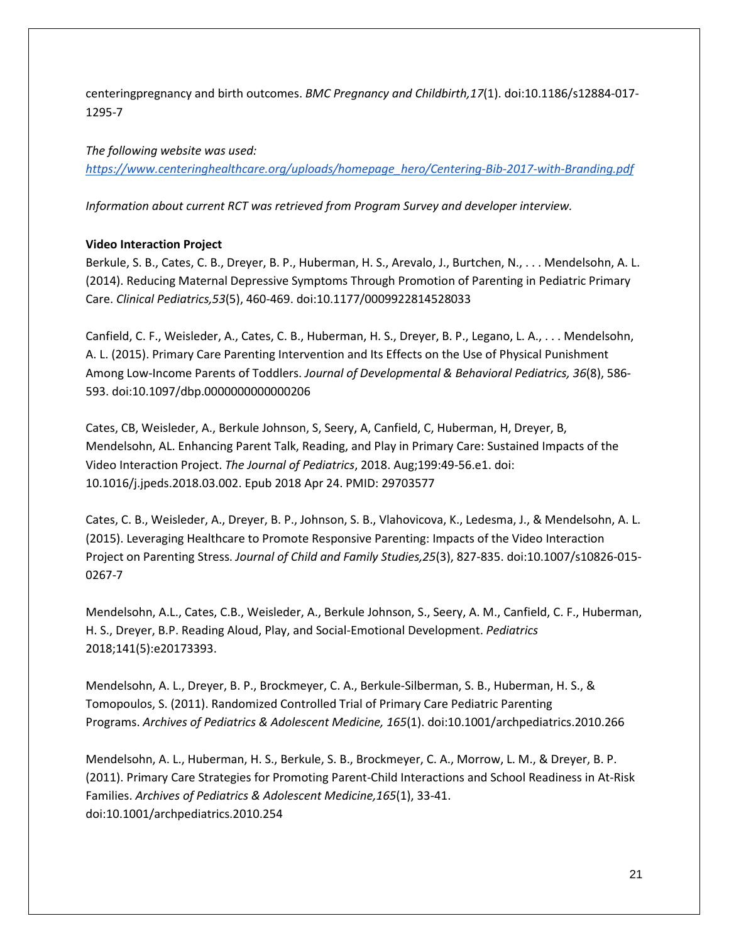centeringpregnancy and birth outcomes. *BMC Pregnancy and Childbirth,17*(1). doi:10.1186/s12884-017- 1295-7

*The following website was used: [https://www.centeringhealthcare.org/uploads/homepage\\_hero/Centering-Bib-2017-with-Branding.pdf](https://www.centeringhealthcare.org/uploads/homepage_hero/Centering-Bib-2017-with-Branding.pdf)*

*Information about current RCT was retrieved from Program Survey and developer interview.*

## **Video Interaction Project**

Berkule, S. B., Cates, C. B., Dreyer, B. P., Huberman, H. S., Arevalo, J., Burtchen, N., . . . Mendelsohn, A. L. (2014). Reducing Maternal Depressive Symptoms Through Promotion of Parenting in Pediatric Primary Care. *Clinical Pediatrics,53*(5), 460-469. doi:10.1177/0009922814528033

Canfield, C. F., Weisleder, A., Cates, C. B., Huberman, H. S., Dreyer, B. P., Legano, L. A., . . . Mendelsohn, A. L. (2015). Primary Care Parenting Intervention and Its Effects on the Use of Physical Punishment Among Low-Income Parents of Toddlers. *Journal of Developmental & Behavioral Pediatrics, 36*(8), 586- 593. doi:10.1097/dbp.0000000000000206

Cates, CB, Weisleder, A., Berkule Johnson, S, Seery, A, Canfield, C, Huberman, H, Dreyer, B, Mendelsohn, AL. Enhancing Parent Talk, Reading, and Play in Primary Care: Sustained Impacts of the Video Interaction Project. *The Journal of Pediatrics*, 2018. Aug;199:49-56.e1. doi: 10.1016/j.jpeds.2018.03.002. Epub 2018 Apr 24. PMID: 29703577

Cates, C. B., Weisleder, A., Dreyer, B. P., Johnson, S. B., Vlahovicova, K., Ledesma, J., & Mendelsohn, A. L. (2015). Leveraging Healthcare to Promote Responsive Parenting: Impacts of the Video Interaction Project on Parenting Stress. *Journal of Child and Family Studies,25*(3), 827-835. doi:10.1007/s10826-015- 0267-7

Mendelsohn, A.L., Cates, C.B., Weisleder, A., Berkule Johnson, S., Seery, A. M., Canfield, C. F., Huberman, H. S., Dreyer, B.P. Reading Aloud, Play, and Social-Emotional Development. *Pediatrics* 2018;141(5):e20173393.

Mendelsohn, A. L., Dreyer, B. P., Brockmeyer, C. A., Berkule-Silberman, S. B., Huberman, H. S., & Tomopoulos, S. (2011). Randomized Controlled Trial of Primary Care Pediatric Parenting Programs. *Archives of Pediatrics & Adolescent Medicine, 165*(1). doi:10.1001/archpediatrics.2010.266

Mendelsohn, A. L., Huberman, H. S., Berkule, S. B., Brockmeyer, C. A., Morrow, L. M., & Dreyer, B. P. (2011). Primary Care Strategies for Promoting Parent-Child Interactions and School Readiness in At-Risk Families. *Archives of Pediatrics & Adolescent Medicine,165*(1), 33-41. doi:10.1001/archpediatrics.2010.254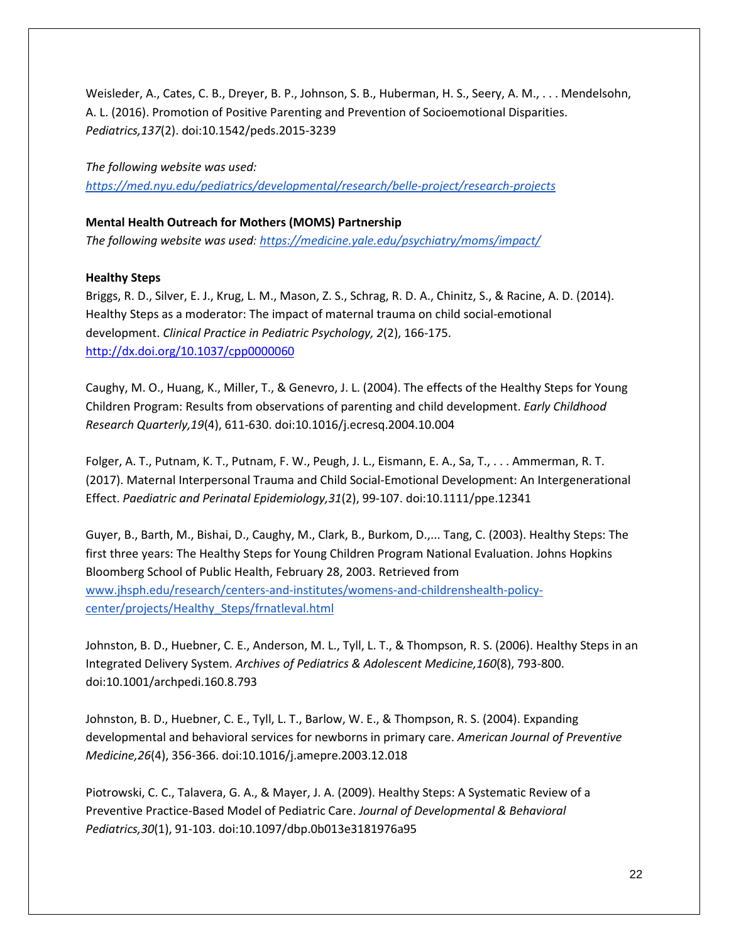Weisleder, A., Cates, C. B., Dreyer, B. P., Johnson, S. B., Huberman, H. S., Seery, A. M., . . . Mendelsohn, A. L. (2016). Promotion of Positive Parenting and Prevention of Socioemotional Disparities. *Pediatrics,137*(2). doi:10.1542/peds.2015-3239

*The following website was used: <https://med.nyu.edu/pediatrics/developmental/research/belle-project/research-projects>*

# **Mental Health Outreach for Mothers (MOMS) Partnership**

*The following website was used:<https://medicine.yale.edu/psychiatry/moms/impact/>*

## **Healthy Steps**

Briggs, R. D., Silver, E. J., Krug, L. M., Mason, Z. S., Schrag, R. D. A., Chinitz, S., & Racine, A. D. (2014). Healthy Steps as a moderator: The impact of maternal trauma on child social-emotional development. *Clinical Practice in Pediatric Psychology, 2*(2), 166-175. [http://dx.doi.org/10.1037/cpp0000060](http://psycnet.apa.org/doi/10.1037/cpp0000060)

Caughy, M. O., Huang, K., Miller, T., & Genevro, J. L. (2004). The effects of the Healthy Steps for Young Children Program: Results from observations of parenting and child development. *Early Childhood Research Quarterly,19*(4), 611-630. doi:10.1016/j.ecresq.2004.10.004

Folger, A. T., Putnam, K. T., Putnam, F. W., Peugh, J. L., Eismann, E. A., Sa, T., . . . Ammerman, R. T. (2017). Maternal Interpersonal Trauma and Child Social-Emotional Development: An Intergenerational Effect. *Paediatric and Perinatal Epidemiology,31*(2), 99-107. doi:10.1111/ppe.12341

Guyer, B., Barth, M., Bishai, D., Caughy, M., Clark, B., Burkom, D.,... Tang, C. (2003). Healthy Steps: The first three years: The Healthy Steps for Young Children Program National Evaluation. Johns Hopkins Bloomberg School of Public Health, February 28, 2003. Retrieved from [www.jhsph.edu/research/centers-and-institutes/womens-and-childrenshealth-policy](http://www.jhsph.edu/research/centers-and-institutes/womens-and-childrenshealth-policy-center/projects/Healthy_Steps/frnatleval.html)[center/projects/Healthy\\_Steps/frnatleval.html](http://www.jhsph.edu/research/centers-and-institutes/womens-and-childrenshealth-policy-center/projects/Healthy_Steps/frnatleval.html)

Johnston, B. D., Huebner, C. E., Anderson, M. L., Tyll, L. T., & Thompson, R. S. (2006). Healthy Steps in an Integrated Delivery System. *Archives of Pediatrics & Adolescent Medicine,160*(8), 793-800. doi:10.1001/archpedi.160.8.793

Johnston, B. D., Huebner, C. E., Tyll, L. T., Barlow, W. E., & Thompson, R. S. (2004). Expanding developmental and behavioral services for newborns in primary care. *American Journal of Preventive Medicine,26*(4), 356-366. doi:10.1016/j.amepre.2003.12.018

Piotrowski, C. C., Talavera, G. A., & Mayer, J. A. (2009). Healthy Steps: A Systematic Review of a Preventive Practice-Based Model of Pediatric Care. *Journal of Developmental & Behavioral Pediatrics,30*(1), 91-103. doi:10.1097/dbp.0b013e3181976a95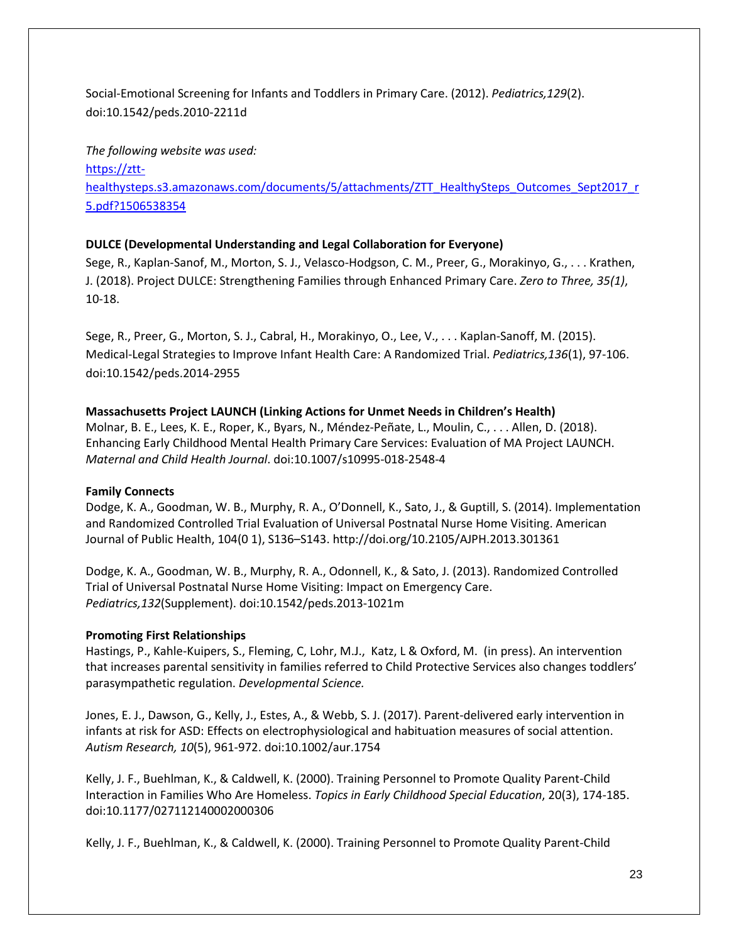Social-Emotional Screening for Infants and Toddlers in Primary Care. (2012). *Pediatrics,129*(2). doi:10.1542/peds.2010-2211d

*The following website was used:* [https://ztt](https://ztt-healthysteps.s3.amazonaws.com/documents/5/attachments/ZTT_HealthySteps_Outcomes_Sept2017_r5.pdf?1506538354)[healthysteps.s3.amazonaws.com/documents/5/attachments/ZTT\\_HealthySteps\\_Outcomes\\_Sept2017\\_r](https://ztt-healthysteps.s3.amazonaws.com/documents/5/attachments/ZTT_HealthySteps_Outcomes_Sept2017_r5.pdf?1506538354) [5.pdf?1506538354](https://ztt-healthysteps.s3.amazonaws.com/documents/5/attachments/ZTT_HealthySteps_Outcomes_Sept2017_r5.pdf?1506538354)

## **DULCE (Developmental Understanding and Legal Collaboration for Everyone)**

Sege, R., Kaplan-Sanof, M., Morton, S. J., Velasco-Hodgson, C. M., Preer, G., Morakinyo, G., . . . Krathen, J. (2018). Project DULCE: Strengthening Families through Enhanced Primary Care. *Zero to Three, 35(1)*, 10-18.

Sege, R., Preer, G., Morton, S. J., Cabral, H., Morakinyo, O., Lee, V., . . . Kaplan-Sanoff, M. (2015). Medical-Legal Strategies to Improve Infant Health Care: A Randomized Trial. *Pediatrics,136*(1), 97-106. doi:10.1542/peds.2014-2955

## **Massachusetts Project LAUNCH (Linking Actions for Unmet Needs in Children's Health)**

Molnar, B. E., Lees, K. E., Roper, K., Byars, N., Méndez-Peñate, L., Moulin, C., . . . Allen, D. (2018). Enhancing Early Childhood Mental Health Primary Care Services: Evaluation of MA Project LAUNCH. *Maternal and Child Health Journal*. doi:10.1007/s10995-018-2548-4

## **Family Connects**

Dodge, K. A., Goodman, W. B., Murphy, R. A., O'Donnell, K., Sato, J., & Guptill, S. (2014). Implementation and Randomized Controlled Trial Evaluation of Universal Postnatal Nurse Home Visiting. American Journal of Public Health, 104(0 1), S136–S143. http://doi.org/10.2105/AJPH.2013.301361

Dodge, K. A., Goodman, W. B., Murphy, R. A., Odonnell, K., & Sato, J. (2013). Randomized Controlled Trial of Universal Postnatal Nurse Home Visiting: Impact on Emergency Care. *Pediatrics,132*(Supplement). doi:10.1542/peds.2013-1021m

## **Promoting First Relationships**

Hastings, P., Kahle-Kuipers, S., Fleming, C, Lohr, M.J., Katz, L & Oxford, M. (in press). An intervention that increases parental sensitivity in families referred to Child Protective Services also changes toddlers' parasympathetic regulation. *Developmental Science.*

Jones, E. J., Dawson, G., Kelly, J., Estes, A., & Webb, S. J. (2017). Parent-delivered early intervention in infants at risk for ASD: Effects on electrophysiological and habituation measures of social attention. *Autism Research, 10*(5), 961-972. doi:10.1002/aur.1754

Kelly, J. F., Buehlman, K., & Caldwell, K. (2000). Training Personnel to Promote Quality Parent-Child Interaction in Families Who Are Homeless. *Topics in Early Childhood Special Education*, 20(3), 174-185. doi:10.1177/027112140002000306

Kelly, J. F., Buehlman, K., & Caldwell, K. (2000). Training Personnel to Promote Quality Parent-Child